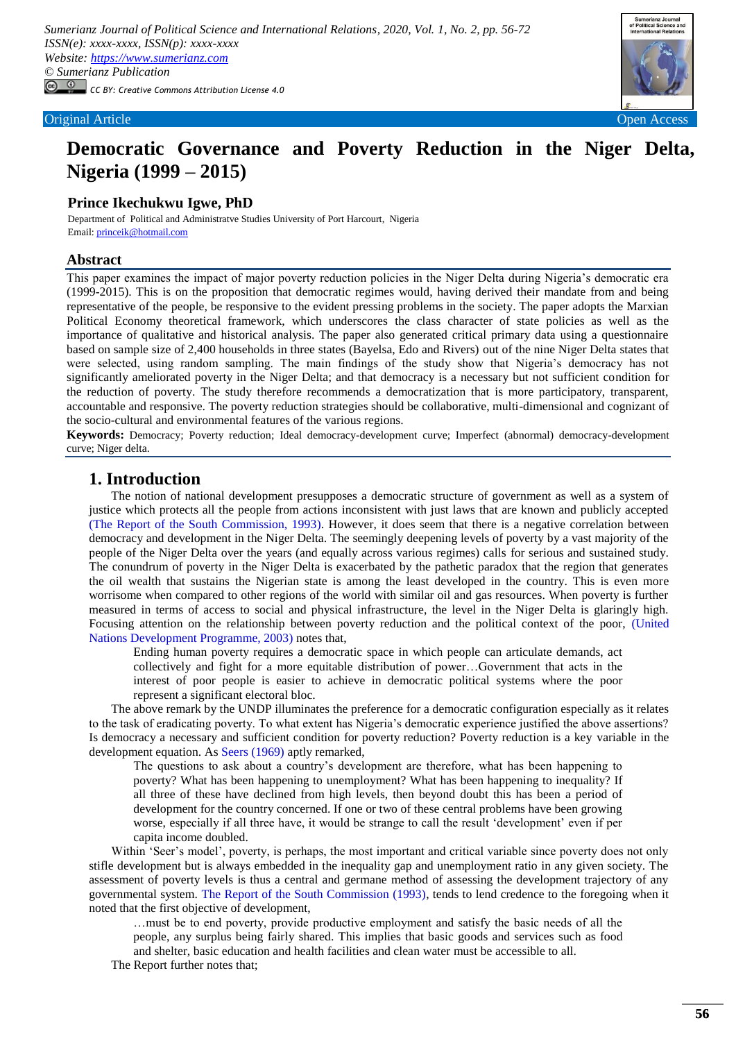

# **Democratic Governance and Poverty Reduction in the Niger Delta, Nigeria (1999 – 2015)**

## **Prince Ikechukwu Igwe, PhD**

Department of Political and Administratve Studies University of Port Harcourt, Nigeria Email[: princeik@hotmail.com](princeik@hotmail.com)

### **Abstract**

This paper examines the impact of major poverty reduction policies in the Niger Delta during Nigeria"s democratic era (1999-2015). This is on the proposition that democratic regimes would, having derived their mandate from and being representative of the people, be responsive to the evident pressing problems in the society. The paper adopts the Marxian Political Economy theoretical framework, which underscores the class character of state policies as well as the importance of qualitative and historical analysis. The paper also generated critical primary data using a questionnaire based on sample size of 2,400 households in three states (Bayelsa, Edo and Rivers) out of the nine Niger Delta states that were selected, using random sampling. The main findings of the study show that Nigeria"s democracy has not significantly ameliorated poverty in the Niger Delta; and that democracy is a necessary but not sufficient condition for the reduction of poverty. The study therefore recommends a democratization that is more participatory, transparent, accountable and responsive. The poverty reduction strategies should be collaborative, multi-dimensional and cognizant of the socio-cultural and environmental features of the various regions.

**Keywords:** Democracy; Poverty reduction; Ideal democracy-development curve; Imperfect (abnormal) democracy-development curve; Niger delta.

## **1. Introduction**

The notion of national development presupposes a democratic structure of government as well as a system of justice which protects all the people from actions inconsistent with just laws that are known and publicly accepted [\(The Report of the South Commission, 1993\)](#page-15-0). However, it does seem that there is a negative correlation between democracy and development in the Niger Delta. The seemingly deepening levels of poverty by a vast majority of the people of the Niger Delta over the years (and equally across various regimes) calls for serious and sustained study. The conundrum of poverty in the Niger Delta is exacerbated by the pathetic paradox that the region that generates the oil wealth that sustains the Nigerian state is among the least developed in the country. This is even more worrisome when compared to other regions of the world with similar oil and gas resources. When poverty is further measured in terms of access to social and physical infrastructure, the level in the Niger Delta is glaringly high. Focusing attention on the relationship between poverty reduction and the political context of the poor, (United [Nations Development Programme, 2003\)](#page-15-1) notes that,

Ending human poverty requires a democratic space in which people can articulate demands, act collectively and fight for a more equitable distribution of power…Government that acts in the interest of poor people is easier to achieve in democratic political systems where the poor represent a significant electoral bloc.

The above remark by the UNDP illuminates the preference for a democratic configuration especially as it relates to the task of eradicating poverty. To what extent has Nigeria"s democratic experience justified the above assertions? Is democracy a necessary and sufficient condition for poverty reduction? Poverty reduction is a key variable in the development equation. As [Seers \(1969\)](#page-15-2) aptly remarked,

The questions to ask about a country"s development are therefore, what has been happening to poverty? What has been happening to unemployment? What has been happening to inequality? If all three of these have declined from high levels, then beyond doubt this has been a period of development for the country concerned. If one or two of these central problems have been growing worse, especially if all three have, it would be strange to call the result "development" even if per capita income doubled.

Within 'Seer's model', poverty, is perhaps, the most important and critical variable since poverty does not only stifle development but is always embedded in the inequality gap and unemployment ratio in any given society. The assessment of poverty levels is thus a central and germane method of assessing the development trajectory of any governmental system. [The Report of the South Commission \(1993\),](#page-15-0) tends to lend credence to the foregoing when it noted that the first objective of development,

…must be to end poverty, provide productive employment and satisfy the basic needs of all the people, any surplus being fairly shared. This implies that basic goods and services such as food and shelter, basic education and health facilities and clean water must be accessible to all.

The Report further notes that;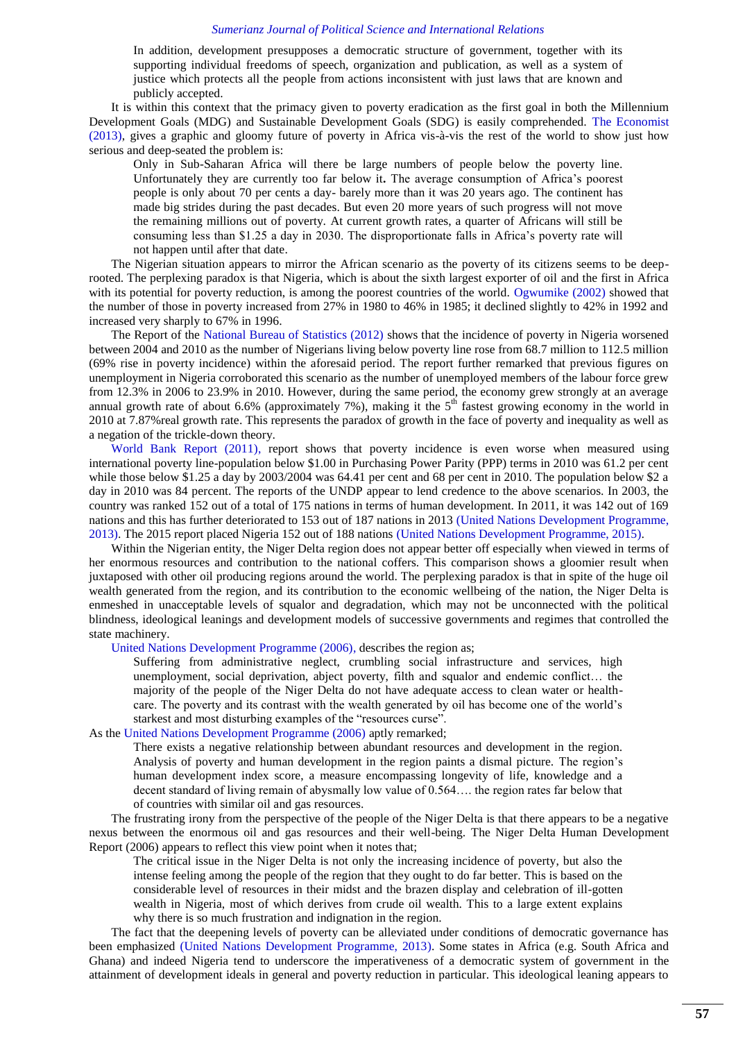In addition, development presupposes a democratic structure of government, together with its supporting individual freedoms of speech, organization and publication, as well as a system of justice which protects all the people from actions inconsistent with just laws that are known and publicly accepted.

It is within this context that the primacy given to poverty eradication as the first goal in both the Millennium Development Goals (MDG) and Sustainable Development Goals (SDG) is easily comprehended. [The Economist](#page-15-3)  (2013), gives a graphic and gloomy future of poverty in Africa vis-à-vis the rest of the world to show just how serious and deep-seated the problem is:

Only in Sub-Saharan Africa will there be large numbers of people below the poverty line. Unfortunately they are currently too far below it**.** The average consumption of Africa"s poorest people is only about 70 per cents a day- barely more than it was 20 years ago. The continent has made big strides during the past decades. But even 20 more years of such progress will not move the remaining millions out of poverty. At current growth rates, a quarter of Africans will still be consuming less than \$1.25 a day in 2030. The disproportionate falls in Africa"s poverty rate will not happen until after that date.

The Nigerian situation appears to mirror the African scenario as the poverty of its citizens seems to be deeprooted. The perplexing paradox is that Nigeria, which is about the sixth largest exporter of oil and the first in Africa with its potential for poverty reduction, is among the poorest countries of the world. [Ogwumike \(2002\)](#page-15-4) showed that the number of those in poverty increased from 27% in 1980 to 46% in 1985; it declined slightly to 42% in 1992 and increased very sharply to 67% in 1996.

The Report of the [National Bureau of Statistics \(2012\)](#page-15-5) shows that the incidence of poverty in Nigeria worsened between 2004 and 2010 as the number of Nigerians living below poverty line rose from 68.7 million to 112.5 million (69% rise in poverty incidence) within the aforesaid period. The report further remarked that previous figures on unemployment in Nigeria corroborated this scenario as the number of unemployed members of the labour force grew from 12.3% in 2006 to 23.9% in 2010. However, during the same period, the economy grew strongly at an average annual growth rate of about 6.6% (approximately 7%), making it the  $5<sup>th</sup>$  fastest growing economy in the world in 2010 at 7.87%real growth rate. This represents the paradox of growth in the face of poverty and inequality as well as a negation of the trickle-down theory.

[World Bank Report \(2011\),](#page-16-0) report shows that poverty incidence is even worse when measured using international poverty line-population below \$1.00 in Purchasing Power Parity (PPP) terms in 2010 was 61.2 per cent while those below \$1.25 a day by 2003/2004 was 64.41 per cent and 68 per cent in 2010. The population below \$2 a day in 2010 was 84 percent. The reports of the UNDP appear to lend credence to the above scenarios. In 2003, the country was ranked 152 out of a total of 175 nations in terms of human development. In 2011, it was 142 out of 169 nations and this has further deteriorated to 153 out of 187 nations in 2013 [\(United Nations Development Programme,](#page-15-6)  [2013\)](#page-15-6). The 2015 report placed Nigeria 152 out of 188 nations [\(United Nations Development Programme, 2015\)](#page-15-7).

Within the Nigerian entity, the Niger Delta region does not appear better off especially when viewed in terms of her enormous resources and contribution to the national coffers. This comparison shows a gloomier result when juxtaposed with other oil producing regions around the world. The perplexing paradox is that in spite of the huge oil wealth generated from the region, and its contribution to the economic wellbeing of the nation, the Niger Delta is enmeshed in unacceptable levels of squalor and degradation, which may not be unconnected with the political blindness, ideological leanings and development models of successive governments and regimes that controlled the state machinery.

[United Nations Development Programme \(2006\),](#page-15-8) describes the region as;

Suffering from administrative neglect, crumbling social infrastructure and services, high unemployment, social deprivation, abject poverty, filth and squalor and endemic conflict… the majority of the people of the Niger Delta do not have adequate access to clean water or healthcare. The poverty and its contrast with the wealth generated by oil has become one of the world"s starkest and most disturbing examples of the "resources curse".

As the [United Nations Development Programme \(2006\)](#page-15-8) aptly remarked;

There exists a negative relationship between abundant resources and development in the region. Analysis of poverty and human development in the region paints a dismal picture. The region"s human development index score, a measure encompassing longevity of life, knowledge and a decent standard of living remain of abysmally low value of 0.564…. the region rates far below that of countries with similar oil and gas resources.

The frustrating irony from the perspective of the people of the Niger Delta is that there appears to be a negative nexus between the enormous oil and gas resources and their well-being. The Niger Delta Human Development Report (2006) appears to reflect this view point when it notes that;

The critical issue in the Niger Delta is not only the increasing incidence of poverty, but also the intense feeling among the people of the region that they ought to do far better. This is based on the considerable level of resources in their midst and the brazen display and celebration of ill-gotten wealth in Nigeria, most of which derives from crude oil wealth. This to a large extent explains why there is so much frustration and indignation in the region.

The fact that the deepening levels of poverty can be alleviated under conditions of democratic governance has been emphasized [\(United Nations Development Programme, 2013\)](#page-15-6). Some states in Africa (e.g. South Africa and Ghana) and indeed Nigeria tend to underscore the imperativeness of a democratic system of government in the attainment of development ideals in general and poverty reduction in particular. This ideological leaning appears to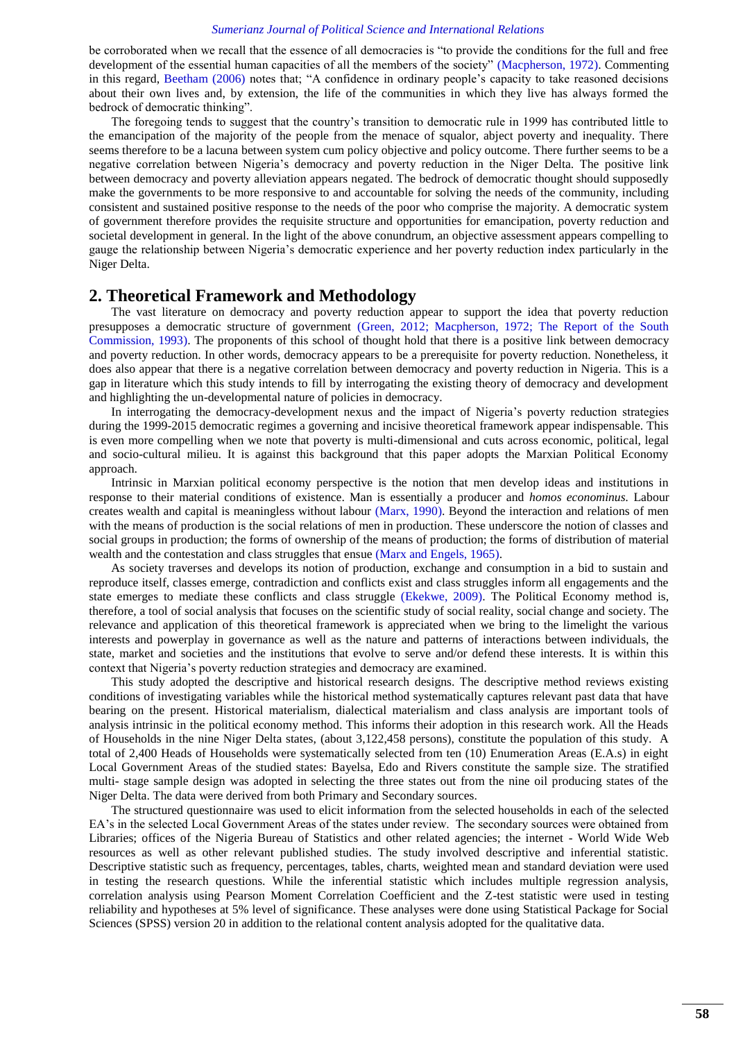be corroborated when we recall that the essence of all democracies is "to provide the conditions for the full and free development of the essential human capacities of all the members of the society" [\(Macpherson, 1972\)](#page-15-9). Commenting in this regard, [Beetham \(2006\)](#page-14-0) notes that; "A confidence in ordinary people's capacity to take reasoned decisions about their own lives and, by extension, the life of the communities in which they live has always formed the bedrock of democratic thinking".

The foregoing tends to suggest that the country"s transition to democratic rule in 1999 has contributed little to the emancipation of the majority of the people from the menace of squalor, abject poverty and inequality. There seems therefore to be a lacuna between system cum policy objective and policy outcome. There further seems to be a negative correlation between Nigeria"s democracy and poverty reduction in the Niger Delta. The positive link between democracy and poverty alleviation appears negated. The bedrock of democratic thought should supposedly make the governments to be more responsive to and accountable for solving the needs of the community, including consistent and sustained positive response to the needs of the poor who comprise the majority. A democratic system of government therefore provides the requisite structure and opportunities for emancipation, poverty reduction and societal development in general. In the light of the above conundrum, an objective assessment appears compelling to gauge the relationship between Nigeria"s democratic experience and her poverty reduction index particularly in the Niger Delta.

## **2. Theoretical Framework and Methodology**

The vast literature on democracy and poverty reduction appear to support the idea that poverty reduction presupposes a democratic structure of government [\(Green, 2012;](#page-15-10) [Macpherson, 1972;](#page-15-9) [The Report of the South](#page-15-0)  [Commission, 1993\)](#page-15-0). The proponents of this school of thought hold that there is a positive link between democracy and poverty reduction. In other words, democracy appears to be a prerequisite for poverty reduction. Nonetheless, it does also appear that there is a negative correlation between democracy and poverty reduction in Nigeria. This is a gap in literature which this study intends to fill by interrogating the existing theory of democracy and development and highlighting the un-developmental nature of policies in democracy.

In interrogating the democracy-development nexus and the impact of Nigeria"s poverty reduction strategies during the 1999-2015 democratic regimes a governing and incisive theoretical framework appear indispensable. This is even more compelling when we note that poverty is multi-dimensional and cuts across economic, political, legal and socio-cultural milieu. It is against this background that this paper adopts the Marxian Political Economy approach.

Intrinsic in Marxian political economy perspective is the notion that men develop ideas and institutions in response to their material conditions of existence. Man is essentially a producer and *homos econominus.* Labour creates wealth and capital is meaningless without labour [\(Marx, 1990\)](#page-15-11). Beyond the interaction and relations of men with the means of production is the social relations of men in production. These underscore the notion of classes and social groups in production; the forms of ownership of the means of production; the forms of distribution of material wealth and the contestation and class struggles that ensue [\(Marx and Engels, 1965\)](#page-15-12).

As society traverses and develops its notion of production, exchange and consumption in a bid to sustain and reproduce itself, classes emerge, contradiction and conflicts exist and class struggles inform all engagements and the state emerges to mediate these conflicts and class struggle [\(Ekekwe, 2009\)](#page-15-13). The Political Economy method is, therefore, a tool of social analysis that focuses on the scientific study of social reality, social change and society. The relevance and application of this theoretical framework is appreciated when we bring to the limelight the various interests and powerplay in governance as well as the nature and patterns of interactions between individuals, the state, market and societies and the institutions that evolve to serve and/or defend these interests. It is within this context that Nigeria"s poverty reduction strategies and democracy are examined.

This study adopted the descriptive and historical research designs. The descriptive method reviews existing conditions of investigating variables while the historical method systematically captures relevant past data that have bearing on the present. Historical materialism, dialectical materialism and class analysis are important tools of analysis intrinsic in the political economy method. This informs their adoption in this research work. All the Heads of Households in the nine Niger Delta states, (about 3,122,458 persons), constitute the population of this study. A total of 2,400 Heads of Households were systematically selected from ten (10) Enumeration Areas (E.A.s) in eight Local Government Areas of the studied states: Bayelsa, Edo and Rivers constitute the sample size. The stratified multi- stage sample design was adopted in selecting the three states out from the nine oil producing states of the Niger Delta. The data were derived from both Primary and Secondary sources.

The structured questionnaire was used to elicit information from the selected households in each of the selected EA's in the selected Local Government Areas of the states under review. The secondary sources were obtained from Libraries; offices of the Nigeria Bureau of Statistics and other related agencies; the internet - World Wide Web resources as well as other relevant published studies. The study involved descriptive and inferential statistic. Descriptive statistic such as frequency, percentages, tables, charts, weighted mean and standard deviation were used in testing the research questions. While the inferential statistic which includes multiple regression analysis, correlation analysis using Pearson Moment Correlation Coefficient and the Z-test statistic were used in testing reliability and hypotheses at 5% level of significance. These analyses were done using Statistical Package for Social Sciences (SPSS) version 20 in addition to the relational content analysis adopted for the qualitative data.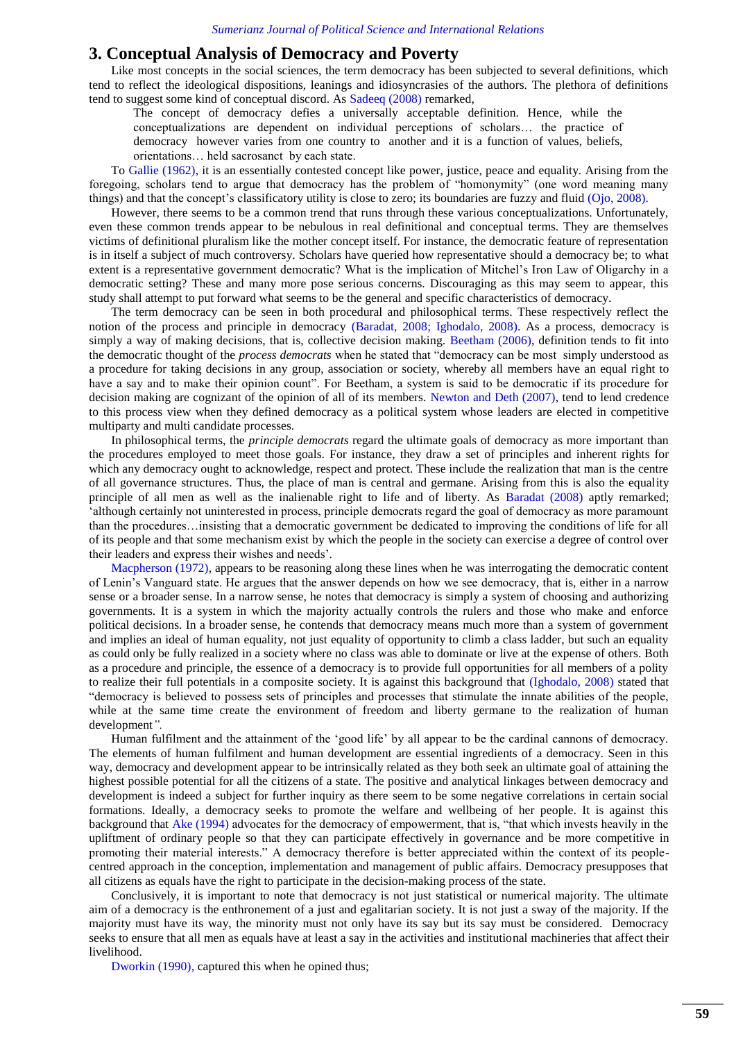## **3. Conceptual Analysis of Democracy and Poverty**

Like most concepts in the social sciences, the term democracy has been subjected to several definitions, which tend to reflect the ideological dispositions, leanings and idiosyncrasies of the authors. The plethora of definitions tend to suggest some kind of conceptual discord. As [Sadeeq \(2008\)](#page-15-14) remarked,

The concept of democracy defies a universally acceptable definition. Hence, while the conceptualizations are dependent on individual perceptions of scholars… the practice of democracy however varies from one country to another and it is a function of values, beliefs, orientations… held sacrosanct by each state.

To [Gallie \(1962\),](#page-15-15) it is an essentially contested concept like power, justice, peace and equality. Arising from the foregoing, scholars tend to argue that democracy has the problem of "homonymity" (one word meaning many things) and that the concept"s classificatory utility is close to zero; its boundaries are fuzzy and fluid [\(Ojo, 2008\)](#page-15-16).

However, there seems to be a common trend that runs through these various conceptualizations. Unfortunately, even these common trends appear to be nebulous in real definitional and conceptual terms. They are themselves victims of definitional pluralism like the mother concept itself. For instance, the democratic feature of representation is in itself a subject of much controversy. Scholars have queried how representative should a democracy be; to what extent is a representative government democratic? What is the implication of Mitchel"s Iron Law of Oligarchy in a democratic setting? These and many more pose serious concerns. Discouraging as this may seem to appear, this study shall attempt to put forward what seems to be the general and specific characteristics of democracy.

The term democracy can be seen in both procedural and philosophical terms. These respectively reflect the notion of the process and principle in democracy [\(Baradat, 2008;](#page-14-1) [Ighodalo, 2008\)](#page-15-17). As a process, democracy is simply a way of making decisions, that is, collective decision making. [Beetham \(2006\),](#page-14-0) definition tends to fit into the democratic thought of the *process democrats* when he stated that "democracy can be most simply understood as a procedure for taking decisions in any group, association or society, whereby all members have an equal right to have a say and to make their opinion count". For Beetham, a system is said to be democratic if its procedure for decision making are cognizant of the opinion of all of its members. [Newton and Deth \(2007\),](#page-15-18) tend to lend credence to this process view when they defined democracy as a political system whose leaders are elected in competitive multiparty and multi candidate processes.

In philosophical terms, the *principle democrats* regard the ultimate goals of democracy as more important than the procedures employed to meet those goals. For instance, they draw a set of principles and inherent rights for which any democracy ought to acknowledge, respect and protect. These include the realization that man is the centre of all governance structures. Thus, the place of man is central and germane. Arising from this is also the equality principle of all men as well as the inalienable right to life and of liberty. As [Baradat \(2008\)](#page-14-1) aptly remarked; "although certainly not uninterested in process, principle democrats regard the goal of democracy as more paramount than the procedures…insisting that a democratic government be dedicated to improving the conditions of life for all of its people and that some mechanism exist by which the people in the society can exercise a degree of control over their leaders and express their wishes and needs".

[Macpherson \(1972\),](#page-15-9) appears to be reasoning along these lines when he was interrogating the democratic content of Lenin"s Vanguard state. He argues that the answer depends on how we see democracy, that is, either in a narrow sense or a broader sense. In a narrow sense, he notes that democracy is simply a system of choosing and authorizing governments. It is a system in which the majority actually controls the rulers and those who make and enforce political decisions. In a broader sense, he contends that democracy means much more than a system of government and implies an ideal of human equality, not just equality of opportunity to climb a class ladder, but such an equality as could only be fully realized in a society where no class was able to dominate or live at the expense of others. Both as a procedure and principle, the essence of a democracy is to provide full opportunities for all members of a polity to realize their full potentials in a composite society. It is against this background that [\(Ighodalo, 2008\)](#page-15-17) stated that "democracy is believed to possess sets of principles and processes that stimulate the innate abilities of the people, while at the same time create the environment of freedom and liberty germane to the realization of human development*".*

Human fulfilment and the attainment of the "good life" by all appear to be the cardinal cannons of democracy. The elements of human fulfilment and human development are essential ingredients of a democracy. Seen in this way, democracy and development appear to be intrinsically related as they both seek an ultimate goal of attaining the highest possible potential for all the citizens of a state. The positive and analytical linkages between democracy and development is indeed a subject for further inquiry as there seem to be some negative correlations in certain social formations. Ideally, a democracy seeks to promote the welfare and wellbeing of her people. It is against this background that [Ake \(1994\)](#page-14-2) advocates for the democracy of empowerment, that is, "that which invests heavily in the upliftment of ordinary people so that they can participate effectively in governance and be more competitive in promoting their material interests." A democracy therefore is better appreciated within the context of its peoplecentred approach in the conception, implementation and management of public affairs. Democracy presupposes that all citizens as equals have the right to participate in the decision-making process of the state.

Conclusively, it is important to note that democracy is not just statistical or numerical majority. The ultimate aim of a democracy is the enthronement of a just and egalitarian society. It is not just a sway of the majority. If the majority must have its way, the minority must not only have its say but its say must be considered. Democracy seeks to ensure that all men as equals have at least a say in the activities and institutional machineries that affect their livelihood.

[Dworkin \(1990\),](#page-15-19) captured this when he opined thus;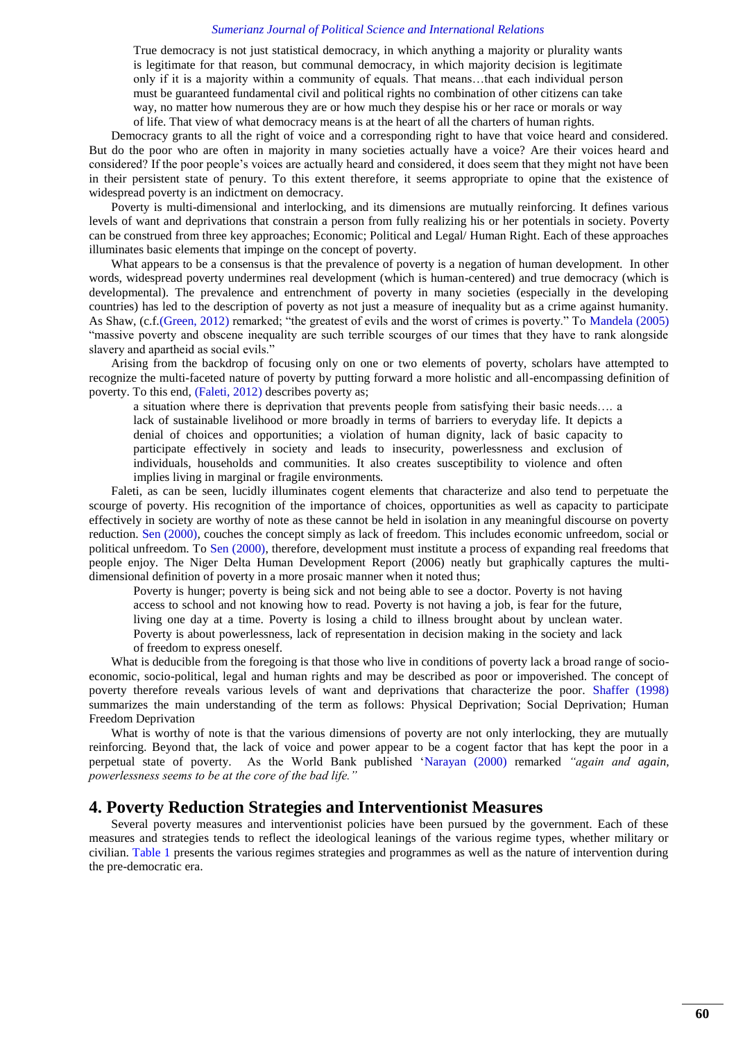True democracy is not just statistical democracy, in which anything a majority or plurality wants is legitimate for that reason, but communal democracy, in which majority decision is legitimate only if it is a majority within a community of equals. That means…that each individual person must be guaranteed fundamental civil and political rights no combination of other citizens can take way, no matter how numerous they are or how much they despise his or her race or morals or way of life. That view of what democracy means is at the heart of all the charters of human rights.

Democracy grants to all the right of voice and a corresponding right to have that voice heard and considered. But do the poor who are often in majority in many societies actually have a voice? Are their voices heard and considered? If the poor people"s voices are actually heard and considered, it does seem that they might not have been in their persistent state of penury. To this extent therefore, it seems appropriate to opine that the existence of widespread poverty is an indictment on democracy.

Poverty is multi-dimensional and interlocking, and its dimensions are mutually reinforcing. It defines various levels of want and deprivations that constrain a person from fully realizing his or her potentials in society. Poverty can be construed from three key approaches; Economic; Political and Legal/ Human Right. Each of these approaches illuminates basic elements that impinge on the concept of poverty.

What appears to be a consensus is that the prevalence of poverty is a negation of human development. In other words, widespread poverty undermines real development (which is human-centered) and true democracy (which is developmental). The prevalence and entrenchment of poverty in many societies (especially in the developing countries) has led to the description of poverty as not just a measure of inequality but as a crime against humanity. As Shaw, (c.f.[\(Green, 2012\)](#page-15-10) remarked; "the greatest of evils and the worst of crimes is poverty." To [Mandela \(2005\)](#page-15-20) "massive poverty and obscene inequality are such terrible scourges of our times that they have to rank alongside slavery and apartheid as social evils."

Arising from the backdrop of focusing only on one or two elements of poverty, scholars have attempted to recognize the multi-faceted nature of poverty by putting forward a more holistic and all-encompassing definition of poverty. To this end, [\(Faleti, 2012\)](#page-15-21) describes poverty as;

a situation where there is deprivation that prevents people from satisfying their basic needs…. a lack of sustainable livelihood or more broadly in terms of barriers to everyday life. It depicts a denial of choices and opportunities; a violation of human dignity, lack of basic capacity to participate effectively in society and leads to insecurity, powerlessness and exclusion of individuals, households and communities. It also creates susceptibility to violence and often implies living in marginal or fragile environments*.*

Faleti, as can be seen, lucidly illuminates cogent elements that characterize and also tend to perpetuate the scourge of poverty. His recognition of the importance of choices, opportunities as well as capacity to participate effectively in society are worthy of note as these cannot be held in isolation in any meaningful discourse on poverty reduction. [Sen \(2000\),](#page-15-22) couches the concept simply as lack of freedom. This includes economic unfreedom, social or political unfreedom. To [Sen \(2000\),](#page-15-22) therefore, development must institute a process of expanding real freedoms that people enjoy. The Niger Delta Human Development Report (2006) neatly but graphically captures the multidimensional definition of poverty in a more prosaic manner when it noted thus;

Poverty is hunger; poverty is being sick and not being able to see a doctor. Poverty is not having access to school and not knowing how to read. Poverty is not having a job, is fear for the future, living one day at a time. Poverty is losing a child to illness brought about by unclean water. Poverty is about powerlessness, lack of representation in decision making in the society and lack of freedom to express oneself.

What is deducible from the foregoing is that those who live in conditions of poverty lack a broad range of socioeconomic, socio-political, legal and human rights and may be described as poor or impoverished. The concept of poverty therefore reveals various levels of want and deprivations that characterize the poor. [Shaffer \(1998\)](#page-15-23) summarizes the main understanding of the term as follows: Physical Deprivation; Social Deprivation; Human Freedom Deprivation

What is worthy of note is that the various dimensions of poverty are not only interlocking, they are mutually reinforcing. Beyond that, the lack of voice and power appear to be a cogent factor that has kept the poor in a perpetual state of poverty. As the World Bank published ["Narayan \(2000\)](#page-15-24) remarked *"again and again, powerlessness seems to be at the core of the bad life."*

## **4. Poverty Reduction Strategies and Interventionist Measures**

<span id="page-4-0"></span>Several poverty measures and interventionist policies have been pursued by the government. Each of these measures and strategies tends to reflect the ideological leanings of the various regime types, whether military or civilian. [Table 1](#page-4-0) presents the various regimes strategies and programmes as well as the nature of intervention during the pre-democratic era.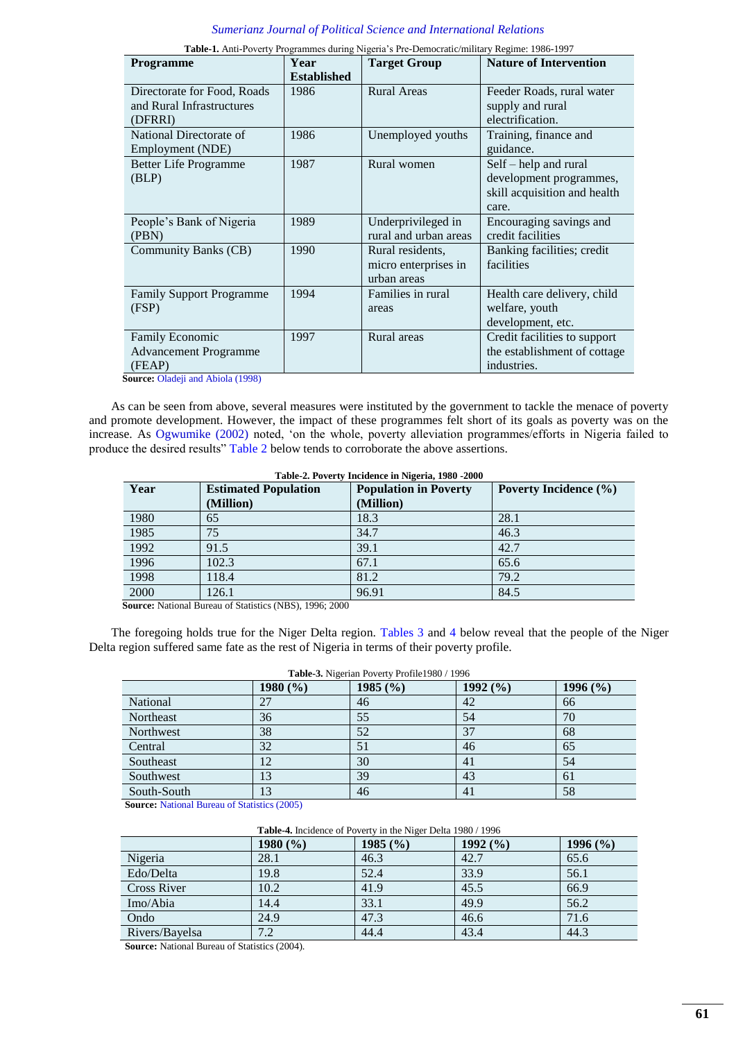| <b>Programme</b>                                                               | Year<br><b>Established</b> | <b>Target Group</b>                                     | <b>Nature of Intervention</b>                                                             |
|--------------------------------------------------------------------------------|----------------------------|---------------------------------------------------------|-------------------------------------------------------------------------------------------|
| Directorate for Food, Roads<br>and Rural Infrastructures<br>(DFRRI)            | 1986                       | <b>Rural Areas</b>                                      | Feeder Roads, rural water<br>supply and rural<br>electrification.                         |
| National Directorate of<br>Employment (NDE)                                    | 1986                       | Unemployed youths                                       | Training, finance and<br>guidance.                                                        |
| <b>Better Life Programme</b><br>(BLP)                                          | 1987                       | Rural women                                             | Self – help and rural<br>development programmes,<br>skill acquisition and health<br>care. |
| People's Bank of Nigeria<br>(PBN)                                              | 1989                       | Underprivileged in<br>rural and urban areas             | Encouraging savings and<br>credit facilities                                              |
| Community Banks (CB)                                                           | 1990                       | Rural residents,<br>micro enterprises in<br>urban areas | Banking facilities; credit<br>facilities                                                  |
| <b>Family Support Programme</b><br>(FSP)                                       | 1994                       | Families in rural<br>areas                              | Health care delivery, child<br>welfare, youth<br>development, etc.                        |
| Family Economic<br><b>Advancement Programme</b><br>(FEAP)<br>$\cdots$ $\cdots$ | 1997                       | Rural areas                                             | Credit facilities to support<br>the establishment of cottage<br>industries.               |

| <b>Table-1.</b> Anti-Poverty Programmes during Nigeria's Pre-Democratic/military Regime: 1986-1997 |  |
|----------------------------------------------------------------------------------------------------|--|
|                                                                                                    |  |

**Source:** [Oladeji and Abiola \(1998\)](#page-15-25)

As can be seen from above, several measures were instituted by the government to tackle the menace of poverty and promote development. However, the impact of these programmes felt short of its goals as poverty was on the increase. As [Ogwumike \(2002\)](#page-15-4) noted, "on the whole, poverty alleviation programmes/efforts in Nigeria failed to produce the desired results" [Table 2](#page-5-0) below tends to corroborate the above assertions.

<span id="page-5-0"></span>

| Table-2. Poverty Incidence in Nigeria, 1980 -2000 |                             |                              |                              |  |  |
|---------------------------------------------------|-----------------------------|------------------------------|------------------------------|--|--|
| Year                                              | <b>Estimated Population</b> | <b>Population in Poverty</b> | <b>Poverty Incidence</b> (%) |  |  |
|                                                   | (Million)                   | (Million)                    |                              |  |  |
| 1980                                              | 65                          | 18.3                         | 28.1                         |  |  |
| 1985                                              | 75                          | 34.7                         | 46.3                         |  |  |
| 1992                                              | 91.5                        | 39.1                         | 42.7                         |  |  |
| 1996                                              | 102.3                       | 67.1                         | 65.6                         |  |  |
| 1998                                              | 118.4                       | 81.2                         | 79.2                         |  |  |
| 2000                                              | 126.1                       | 96.91                        | 84.5                         |  |  |

**Source:** National Bureau of Statistics (NBS), 1996; 2000

<span id="page-5-1"></span>The foregoing holds true for the Niger Delta region. [Tables 3](#page-5-1) and [4](#page-5-2) below reveal that the people of the Niger Delta region suffered same fate as the rest of Nigeria in terms of their poverty profile.

| Table-3. Nigerian Poverty Profile1980 / 1996 |              |         |              |              |  |
|----------------------------------------------|--------------|---------|--------------|--------------|--|
|                                              | 1980 $(\% )$ | 1985(%) | 1992 $(\% )$ | 1996 $(\% )$ |  |
| National                                     | 27           | 46      | 42           | 66           |  |
| Northeast                                    | 36           | 55      | 54           | 70           |  |
| Northwest                                    | 38           | 52      | 37           | 68           |  |
| Central                                      | 32           | 51      | 46           | 65           |  |
| Southeast                                    | 12           | 30      | 41           | 54           |  |
| Southwest                                    | 13           | 39      | 43           | 61           |  |
| South-South                                  | 13           | 46      | 41           | 58           |  |

**Source:** [National Bureau of Statistics \(2005\)](#page-15-26)

|  |  | Table-4. Incidence of Poverty in the Niger Delta 1980 / 1996 |  |
|--|--|--------------------------------------------------------------|--|
|  |  |                                                              |  |

<span id="page-5-2"></span>

|                    | $1980\,(%)$ | 1985 $(%$ | 1992(%) | 1996 $(\% )$ |
|--------------------|-------------|-----------|---------|--------------|
| Nigeria            | 28.1        | 46.3      | 42.7    | 65.6         |
| Edo/Delta          | 19.8        | 52.4      | 33.9    | 56.1         |
| <b>Cross River</b> | 10.2        | 41.9      | 45.5    | 66.9         |
| Imo/Abia           | 14.4        | 33.1      | 49.9    | 56.2         |
| Ondo               | 24.9        | 47.3      | 46.6    | 71.6         |
| Rivers/Bayelsa     | 7.2         | 44.4      | 43.4    | 44.3         |

**Source:** National Bureau of Statistics (2004).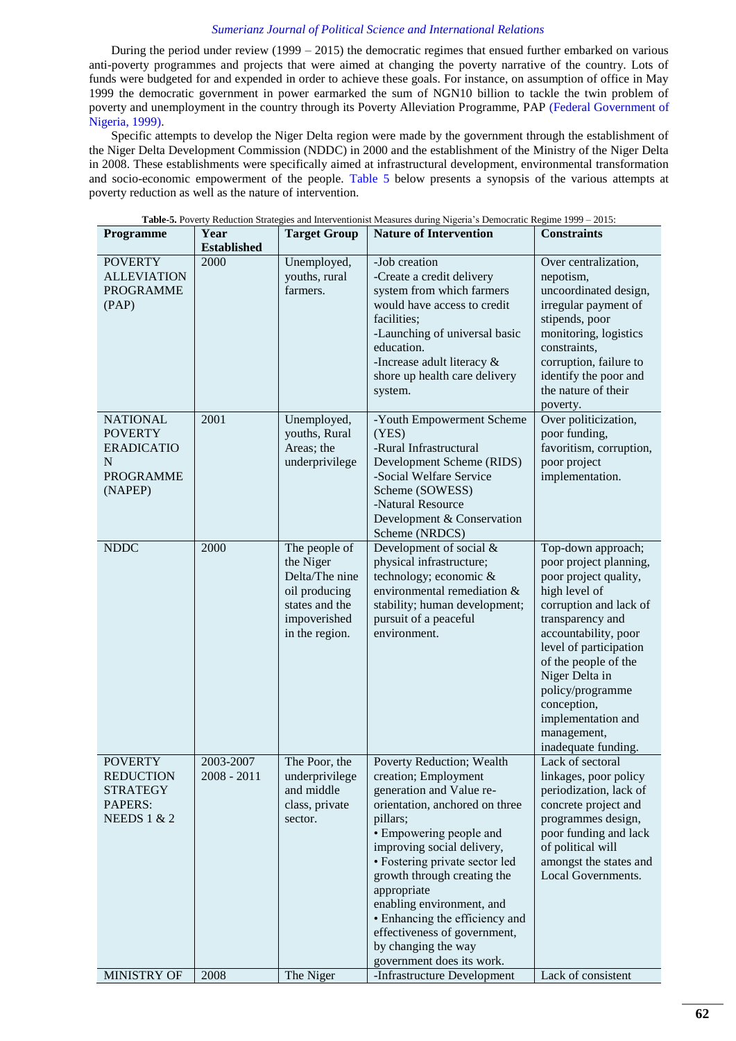During the period under review (1999 – 2015) the democratic regimes that ensued further embarked on various anti-poverty programmes and projects that were aimed at changing the poverty narrative of the country. Lots of funds were budgeted for and expended in order to achieve these goals. For instance, on assumption of office in May 1999 the democratic government in power earmarked the sum of NGN10 billion to tackle the twin problem of poverty and unemployment in the country through its Poverty Alleviation Programme, PAP [\(Federal Government of](#page-15-27)  [Nigeria, 1999\)](#page-15-27).

Specific attempts to develop the Niger Delta region were made by the government through the establishment of the Niger Delta Development Commission (NDDC) in 2000 and the establishment of the Ministry of the Niger Delta in 2008. These establishments were specifically aimed at infrastructural development, environmental transformation and socio-economic empowerment of the people. [Table 5](#page-6-0) below presents a synopsis of the various attempts at poverty reduction as well as the nature of intervention.

<span id="page-6-0"></span>

| Table-5. Poverty Reduction Strategies and Interventionist Measures during Nigeria's Democratic Regime 1999 - 2015: |                            |                                                                                                                   |                                                                                                                                                                                                                                                                                                                                                                                                                         |                                                                                                                                                                                                                                                                                                                                 |
|--------------------------------------------------------------------------------------------------------------------|----------------------------|-------------------------------------------------------------------------------------------------------------------|-------------------------------------------------------------------------------------------------------------------------------------------------------------------------------------------------------------------------------------------------------------------------------------------------------------------------------------------------------------------------------------------------------------------------|---------------------------------------------------------------------------------------------------------------------------------------------------------------------------------------------------------------------------------------------------------------------------------------------------------------------------------|
| Programme                                                                                                          | Year<br><b>Established</b> | <b>Target Group</b>                                                                                               | <b>Nature of Intervention</b>                                                                                                                                                                                                                                                                                                                                                                                           | <b>Constraints</b>                                                                                                                                                                                                                                                                                                              |
| <b>POVERTY</b><br><b>ALLEVIATION</b><br><b>PROGRAMME</b><br>(PAP)                                                  | 2000                       | Unemployed,<br>youths, rural<br>farmers.                                                                          | -Job creation<br>-Create a credit delivery<br>system from which farmers<br>would have access to credit<br>facilities;<br>-Launching of universal basic<br>education.<br>-Increase adult literacy $\&$<br>shore up health care delivery<br>system.                                                                                                                                                                       | Over centralization,<br>nepotism,<br>uncoordinated design,<br>irregular payment of<br>stipends, poor<br>monitoring, logistics<br>constraints,<br>corruption, failure to<br>identify the poor and<br>the nature of their<br>poverty.                                                                                             |
| <b>NATIONAL</b><br><b>POVERTY</b><br><b>ERADICATIO</b><br>N<br><b>PROGRAMME</b><br>(NAPEP)                         | 2001                       | Unemployed,<br>youths, Rural<br>Areas; the<br>underprivilege                                                      | -Youth Empowerment Scheme<br>(YES)<br>-Rural Infrastructural<br>Development Scheme (RIDS)<br>-Social Welfare Service<br>Scheme (SOWESS)<br>-Natural Resource<br>Development & Conservation<br>Scheme (NRDCS)                                                                                                                                                                                                            | Over politicization,<br>poor funding,<br>favoritism, corruption,<br>poor project<br>implementation.                                                                                                                                                                                                                             |
| <b>NDDC</b>                                                                                                        | 2000                       | The people of<br>the Niger<br>Delta/The nine<br>oil producing<br>states and the<br>impoverished<br>in the region. | Development of social &<br>physical infrastructure;<br>technology; economic &<br>environmental remediation &<br>stability; human development;<br>pursuit of a peaceful<br>environment.                                                                                                                                                                                                                                  | Top-down approach;<br>poor project planning,<br>poor project quality,<br>high level of<br>corruption and lack of<br>transparency and<br>accountability, poor<br>level of participation<br>of the people of the<br>Niger Delta in<br>policy/programme<br>conception,<br>implementation and<br>management,<br>inadequate funding. |
| <b>POVERTY</b><br><b>REDUCTION</b><br><b>STRATEGY</b><br>PAPERS:<br>NEEDS $1 & 2$                                  | 2003-2007<br>$2008 - 2011$ | The Poor, the<br>underprivilege<br>and middle<br>class, private<br>sector.                                        | Poverty Reduction; Wealth<br>creation; Employment<br>generation and Value re-<br>orientation, anchored on three<br>pillars;<br>• Empowering people and<br>improving social delivery,<br>• Fostering private sector led<br>growth through creating the<br>appropriate<br>enabling environment, and<br>• Enhancing the efficiency and<br>effectiveness of government,<br>by changing the way<br>government does its work. | Lack of sectoral<br>linkages, poor policy<br>periodization, lack of<br>concrete project and<br>programmes design,<br>poor funding and lack<br>of political will<br>amongst the states and<br>Local Governments.                                                                                                                 |
| MINISTRY OF                                                                                                        | 2008                       | The Niger                                                                                                         | -Infrastructure Development                                                                                                                                                                                                                                                                                                                                                                                             | Lack of consistent                                                                                                                                                                                                                                                                                                              |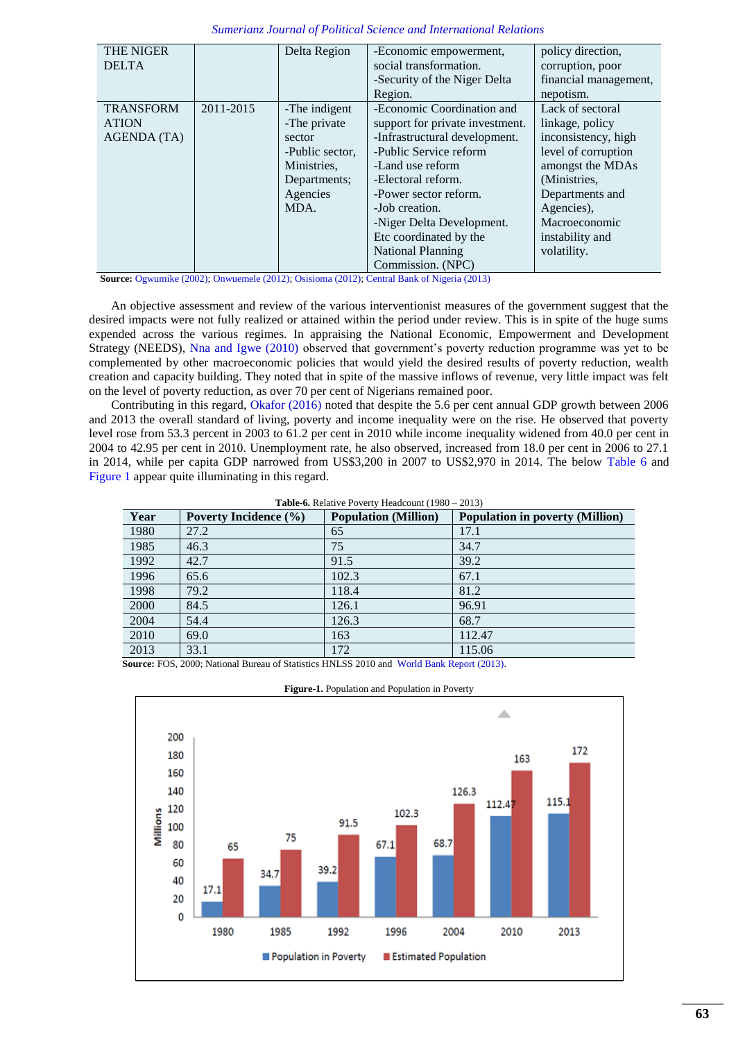| <b>THE NIGER</b>   |           | Delta Region    | -Economic empowerment,          | policy direction,     |
|--------------------|-----------|-----------------|---------------------------------|-----------------------|
| <b>DELTA</b>       |           |                 | social transformation.          | corruption, poor      |
|                    |           |                 | -Security of the Niger Delta    | financial management, |
|                    |           |                 | Region.                         | nepotism.             |
| <b>TRANSFORM</b>   | 2011-2015 | -The indigent   | -Economic Coordination and      | Lack of sectoral      |
| <b>ATION</b>       |           | -The private    | support for private investment. | linkage, policy       |
| <b>AGENDA (TA)</b> |           | sector          | -Infrastructural development.   | inconsistency, high   |
|                    |           | -Public sector, | -Public Service reform          | level of corruption   |
|                    |           | Ministries.     | -Land use reform                | amongst the MDAs      |
|                    |           | Departments;    | -Electoral reform.              | (Ministries,          |
|                    |           | Agencies        | -Power sector reform.           | Departments and       |
|                    |           | MDA.            | -Job creation.                  | Agencies),            |
|                    |           |                 | -Niger Delta Development.       | Macroeconomic         |
|                    |           |                 | Etc coordinated by the          | instability and       |
|                    |           |                 | <b>National Planning</b>        | volatility.           |
|                    |           |                 | Commission. (NPC)               |                       |

**Source:** [Ogwumike \(2002\);](#page-15-4) [Onwuemele \(2012\);](#page-15-28) [Osisioma \(2012\);](#page-15-29) [Central Bank of Nigeria \(2013\)](#page-14-3)

An objective assessment and review of the various interventionist measures of the government suggest that the desired impacts were not fully realized or attained within the period under review. This is in spite of the huge sums expended across the various regimes. In appraising the National Economic, Empowerment and Development Strategy (NEEDS), [Nna and Igwe \(2010\)](#page-15-30) observed that government's poverty reduction programme was yet to be complemented by other macroeconomic policies that would yield the desired results of poverty reduction, wealth creation and capacity building. They noted that in spite of the massive inflows of revenue, very little impact was felt on the level of poverty reduction, as over 70 per cent of Nigerians remained poor.

Contributing in this regard, [Okafor \(2016\)](#page-15-31) noted that despite the 5.6 per cent annual GDP growth between 2006 and 2013 the overall standard of living, poverty and income inequality were on the rise. He observed that poverty level rose from 53.3 percent in 2003 to 61.2 per cent in 2010 while income inequality widened from 40.0 per cent in 2004 to 42.95 per cent in 2010. Unemployment rate, he also observed, increased from 18.0 per cent in 2006 to 27.1 in 2014, while per capita GDP narrowed from US\$3,200 in 2007 to US\$2,970 in 2014. The below [Table 6](#page-7-0) and [Figure 1](#page-7-1) appear quite illuminating in this regard.

**Table-6.** Relative Poverty Headcount (1980 – 2013)

<span id="page-7-0"></span>

| Year | <b>Poverty Incidence</b> (%) | <b>Population (Million)</b> | <b>Population in poverty (Million)</b> |
|------|------------------------------|-----------------------------|----------------------------------------|
| 1980 | 27.2                         | 65                          | 17.1                                   |
| 1985 | 46.3                         | 75                          | 34.7                                   |
| 1992 | 42.7                         | 91.5                        | 39.2                                   |
| 1996 | 65.6                         | 102.3                       | 67.1                                   |
| 1998 | 79.2                         | 118.4                       | 81.2                                   |
| 2000 | 84.5                         | 126.1                       | 96.91                                  |
| 2004 | 54.4                         | 126.3                       | 68.7                                   |
| 2010 | 69.0                         | 163                         | 112.47                                 |
| 2013 | 33.1                         | 172                         | 115.06                                 |

<span id="page-7-1"></span>**Source:** FOS, 2000; National Bureau of Statistics HNLSS 2010 and [World Bank Report \(2013\).](#page-16-1)



**Figure-1.** Population and Population in Poverty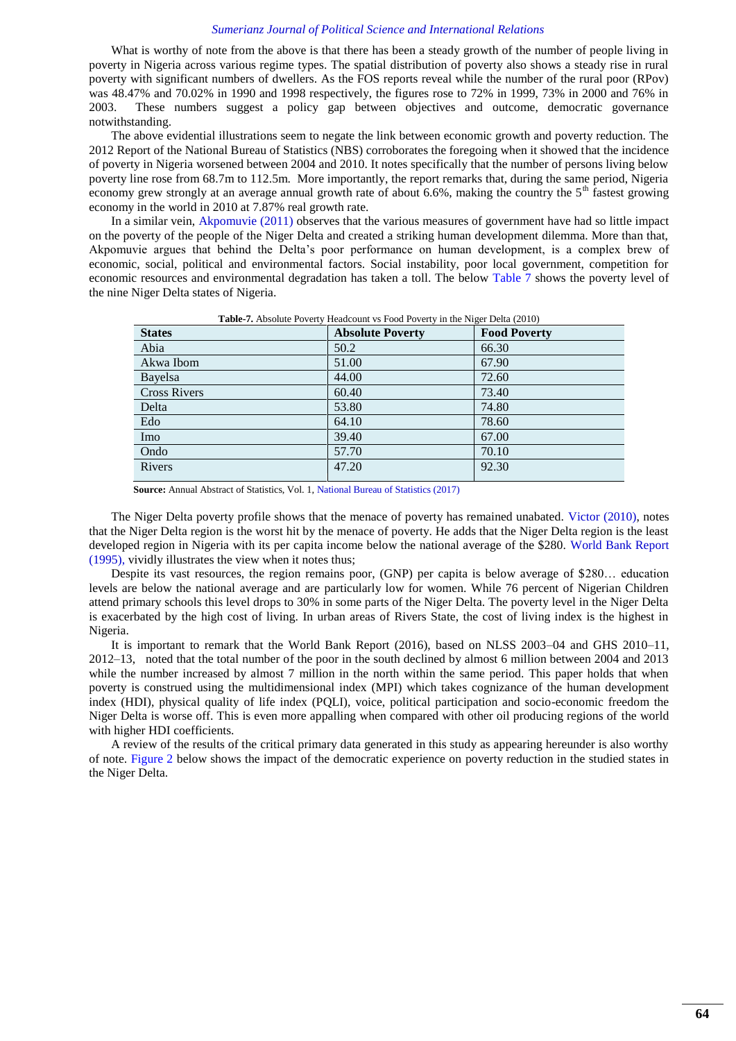What is worthy of note from the above is that there has been a steady growth of the number of people living in poverty in Nigeria across various regime types. The spatial distribution of poverty also shows a steady rise in rural poverty with significant numbers of dwellers. As the FOS reports reveal while the number of the rural poor (RPov) was 48.47% and 70.02% in 1990 and 1998 respectively, the figures rose to 72% in 1999, 73% in 2000 and 76% in 2003. These numbers suggest a policy gap between objectives and outcome, democratic governance notwithstanding.

The above evidential illustrations seem to negate the link between economic growth and poverty reduction. The 2012 Report of the National Bureau of Statistics (NBS) corroborates the foregoing when it showed that the incidence of poverty in Nigeria worsened between 2004 and 2010. It notes specifically that the number of persons living below poverty line rose from 68.7m to 112.5m. More importantly, the report remarks that, during the same period, Nigeria economy grew strongly at an average annual growth rate of about 6.6%, making the country the 5<sup>th</sup> fastest growing economy in the world in 2010 at 7.87% real growth rate.

In a similar vein, [Akpomuvie \(2011\)](#page-14-4) observes that the various measures of government have had so little impact on the poverty of the people of the Niger Delta and created a striking human development dilemma. More than that, Akpomuvie argues that behind the Delta"s poor performance on human development, is a complex brew of economic, social, political and environmental factors. Social instability, poor local government, competition for economic resources and environmental degradation has taken a toll. The below [Table 7](#page-8-0) shows the poverty level of the nine Niger Delta states of Nigeria.

<span id="page-8-0"></span>

| <b>States</b>       | <b>Absolute Poverty</b> | <b>Food Poverty</b> |
|---------------------|-------------------------|---------------------|
| Abia                | 50.2                    | 66.30               |
| Akwa Ibom           | 51.00                   | 67.90               |
| Bayelsa             | 44.00                   | 72.60               |
| <b>Cross Rivers</b> | 60.40                   | 73.40               |
| Delta               | 53.80                   | 74.80               |
| Edo                 | 64.10                   | 78.60               |
| Imo                 | 39.40                   | 67.00               |
| Ondo                | 57.70                   | 70.10               |
| Rivers              | 47.20                   | 92.30               |

**Table-7.** Absolute Poverty Headcount vs Food Poverty in the Niger Delta (2010)

**Source:** Annual Abstract of Statistics, Vol. 1[, National Bureau of Statistics \(2017\)](#page-15-32)

The Niger Delta poverty profile shows that the menace of poverty has remained unabated. [Victor \(2010\),](#page-16-2) notes that the Niger Delta region is the worst hit by the menace of poverty. He adds that the Niger Delta region is the least developed region in Nigeria with its per capita income below the national average of the \$280. [World Bank Report](#page-16-3)  (1995), vividly illustrates the view when it notes thus;

Despite its vast resources, the region remains poor, (GNP) per capita is below average of \$280… education levels are below the national average and are particularly low for women. While 76 percent of Nigerian Children attend primary schools this level drops to 30% in some parts of the Niger Delta. The poverty level in the Niger Delta is exacerbated by the high cost of living. In urban areas of Rivers State, the cost of living index is the highest in Nigeria.

It is important to remark that the World Bank Report (2016), based on NLSS 2003–04 and GHS 2010–11, 2012–13, noted that the total number of the poor in the south declined by almost 6 million between 2004 and 2013 while the number increased by almost 7 million in the north within the same period. This paper holds that when poverty is construed using the multidimensional index (MPI) which takes cognizance of the human development index (HDI), physical quality of life index (PQLI), voice, political participation and socio-economic freedom the Niger Delta is worse off. This is even more appalling when compared with other oil producing regions of the world with higher HDI coefficients.

<span id="page-8-1"></span>A review of the results of the critical primary data generated in this study as appearing hereunder is also worthy of note. [Figure 2](#page-8-1) below shows the impact of the democratic experience on poverty reduction in the studied states in the Niger Delta.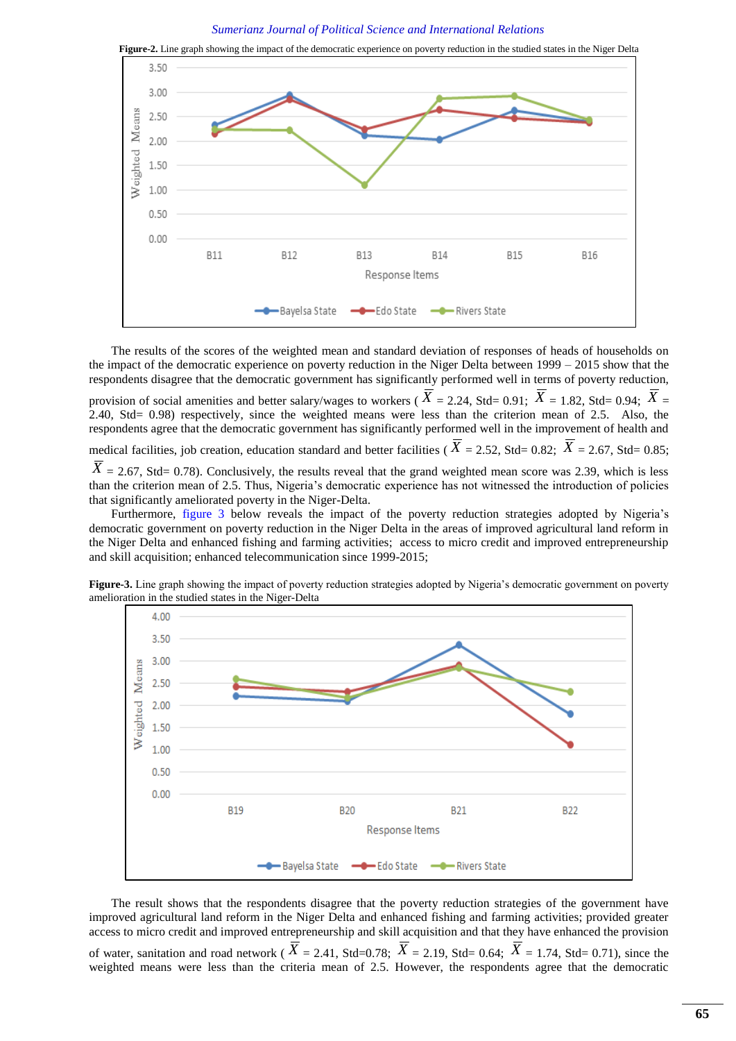*Sumerianz Journal of Political Science and International Relations*



The results of the scores of the weighted mean and standard deviation of responses of heads of households on the impact of the democratic experience on poverty reduction in the Niger Delta between 1999 – 2015 show that the respondents disagree that the democratic government has significantly performed well in terms of poverty reduction, provision of social amenities and better salary/wages to workers ( $\overline{X}$  = 2.24, Std= 0.91;  $\overline{X}$  = 1.82, Std= 0.94;  $\overline{X}$  = 2.40, Std= 0.98) respectively, since the weighted means were less than the criterion mean of 2.5. Also, the respondents agree that the democratic government has significantly performed well in the improvement of health and medical facilities, job creation, education standard and better facilities ( $\overline{X}$  = 2.52, Std= 0.82;  $\overline{X}$  = 2.67, Std= 0.85;  $\overline{X}$  = 2.67, Std= 0.78). Conclusively, the results reveal that the grand weighted mean score was 2.39, which is less than the criterion mean of 2.5. Thus, Nigeria's democratic experience has not witnessed the introduction of policies that significantly ameliorated poverty in the Niger-Delta.

Furthermore, [figure 3](#page-9-0) below reveals the impact of the poverty reduction strategies adopted by Nigeria's democratic government on poverty reduction in the Niger Delta in the areas of improved agricultural land reform in the Niger Delta and enhanced fishing and farming activities; access to micro credit and improved entrepreneurship and skill acquisition; enhanced telecommunication since 1999-2015;



<span id="page-9-0"></span>Figure-3. Line graph showing the impact of poverty reduction strategies adopted by Nigeria's democratic government on poverty amelioration in the studied states in the Niger-Delta

The result shows that the respondents disagree that the poverty reduction strategies of the government have improved agricultural land reform in the Niger Delta and enhanced fishing and farming activities; provided greater access to micro credit and improved entrepreneurship and skill acquisition and that they have enhanced the provision of water, sanitation and road network ( $\overline{X}$  = 2.41, Std=0.78;  $\overline{X}$  = 2.19, Std= 0.64;  $\overline{X}$  = 1.74, Std= 0.71), since the weighted means were less than the criteria mean of 2.5. However, the respondents agree that the democratic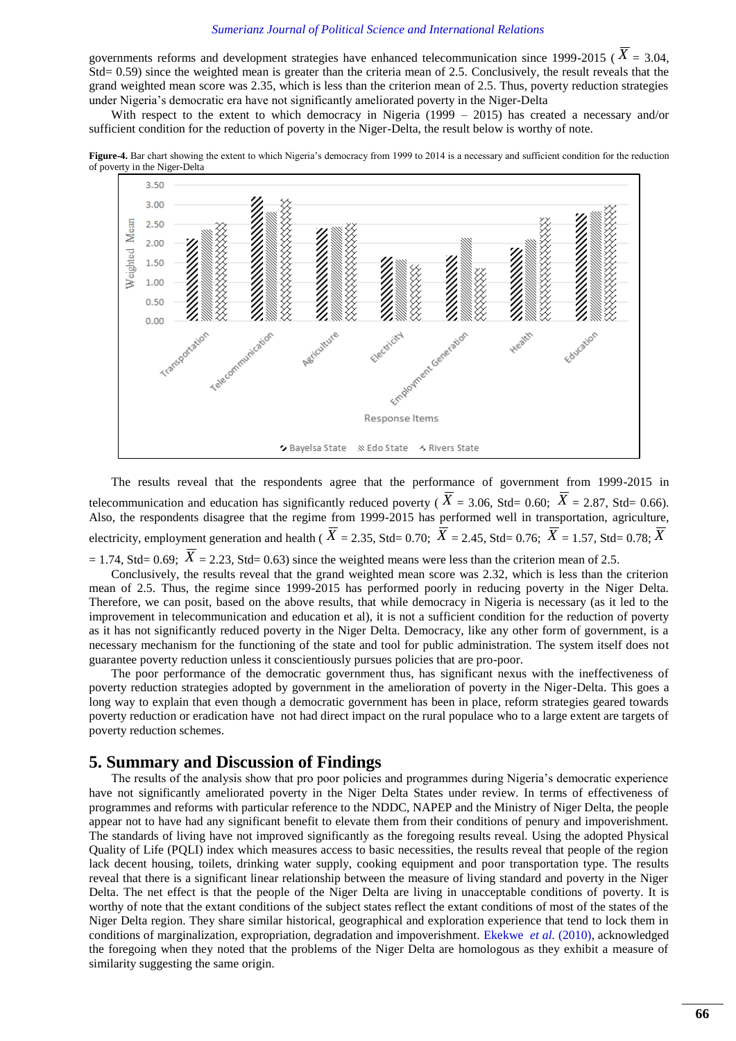governments reforms and development strategies have enhanced telecommunication since 1999-2015 ( $\overline{X}$  = 3.04, Std= 0.59) since the weighted mean is greater than the criteria mean of 2.5. Conclusively, the result reveals that the grand weighted mean score was 2.35, which is less than the criterion mean of 2.5. Thus, poverty reduction strategies under Nigeria"s democratic era have not significantly ameliorated poverty in the Niger-Delta

With respect to the extent to which democracy in Nigeria (1999 – 2015) has created a necessary and/or sufficient condition for the reduction of poverty in the Niger-Delta, the result below is worthy of note.





The results reveal that the respondents agree that the performance of government from 1999-2015 in telecommunication and education has significantly reduced poverty ( $\overline{X}$  = 3.06, Std= 0.60;  $\overline{X}$  = 2.87, Std= 0.66). Also, the respondents disagree that the regime from 1999-2015 has performed well in transportation, agriculture, electricity, employment generation and health ( $\overline{X}$  = 2.35, Std= 0.70;  $\overline{X}$  = 2.45, Std= 0.76;  $\overline{X}$  = 1.57, Std= 0.78;  $\overline{X}$  $= 1.74$ , Std= 0.69;  $\overline{X} = 2.23$ , Std= 0.63) since the weighted means were less than the criterion mean of 2.5.

Conclusively, the results reveal that the grand weighted mean score was 2.32, which is less than the criterion mean of 2.5. Thus, the regime since 1999-2015 has performed poorly in reducing poverty in the Niger Delta. Therefore, we can posit, based on the above results, that while democracy in Nigeria is necessary (as it led to the improvement in telecommunication and education et al), it is not a sufficient condition for the reduction of poverty as it has not significantly reduced poverty in the Niger Delta. Democracy, like any other form of government, is a necessary mechanism for the functioning of the state and tool for public administration. The system itself does not guarantee poverty reduction unless it conscientiously pursues policies that are pro-poor.

The poor performance of the democratic government thus, has significant nexus with the ineffectiveness of poverty reduction strategies adopted by government in the amelioration of poverty in the Niger-Delta. This goes a long way to explain that even though a democratic government has been in place, reform strategies geared towards poverty reduction or eradication have not had direct impact on the rural populace who to a large extent are targets of poverty reduction schemes.

## **5. Summary and Discussion of Findings**

The results of the analysis show that pro poor policies and programmes during Nigeria"s democratic experience have not significantly ameliorated poverty in the Niger Delta States under review. In terms of effectiveness of programmes and reforms with particular reference to the NDDC, NAPEP and the Ministry of Niger Delta, the people appear not to have had any significant benefit to elevate them from their conditions of penury and impoverishment. The standards of living have not improved significantly as the foregoing results reveal. Using the adopted Physical Quality of Life (PQLI) index which measures access to basic necessities, the results reveal that people of the region lack decent housing, toilets, drinking water supply, cooking equipment and poor transportation type. The results reveal that there is a significant linear relationship between the measure of living standard and poverty in the Niger Delta. The net effect is that the people of the Niger Delta are living in unacceptable conditions of poverty. It is worthy of note that the extant conditions of the subject states reflect the extant conditions of most of the states of the Niger Delta region. They share similar historical, geographical and exploration experience that tend to lock them in conditions of marginalization, expropriation, degradation and impoverishment. [Ekekwe](#page-15-33) *et al.* (2010), acknowledged the foregoing when they noted that the problems of the Niger Delta are homologous as they exhibit a measure of similarity suggesting the same origin.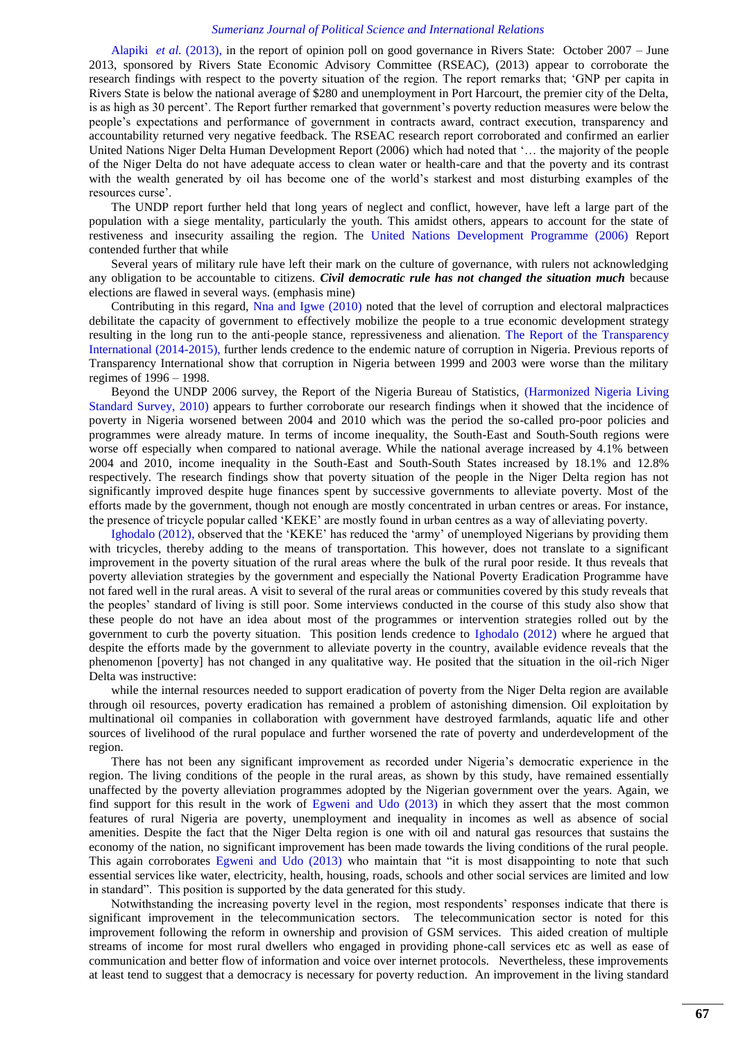[Alapiki](#page-14-5) *et al.* (2013), in the report of opinion poll on good governance in Rivers State: October 2007 – June 2013, sponsored by Rivers State Economic Advisory Committee (RSEAC), (2013) appear to corroborate the research findings with respect to the poverty situation of the region. The report remarks that; "GNP per capita in Rivers State is below the national average of \$280 and unemployment in Port Harcourt, the premier city of the Delta, is as high as 30 percent". The Report further remarked that government"s poverty reduction measures were below the people"s expectations and performance of government in contracts award, contract execution, transparency and accountability returned very negative feedback. The RSEAC research report corroborated and confirmed an earlier United Nations Niger Delta Human Development Report (2006) which had noted that "… the majority of the people of the Niger Delta do not have adequate access to clean water or health-care and that the poverty and its contrast with the wealth generated by oil has become one of the world"s starkest and most disturbing examples of the resources curse'.

The UNDP report further held that long years of neglect and conflict, however, have left a large part of the population with a siege mentality, particularly the youth. This amidst others, appears to account for the state of restiveness and insecurity assailing the region. The [United Nations Development Programme \(2006\)](#page-15-8) Report contended further that while

Several years of military rule have left their mark on the culture of governance, with rulers not acknowledging any obligation to be accountable to citizens. *Civil democratic rule has not changed the situation much* because elections are flawed in several ways. (emphasis mine)

Contributing in this regard, [Nna and Igwe \(2010\)](#page-15-30) noted that the level of corruption and electoral malpractices debilitate the capacity of government to effectively mobilize the people to a true economic development strategy resulting in the long run to the anti-people stance, repressiveness and alienation. [The Report of the Transparency](#page-15-34)  International (2014-2015), further lends credence to the endemic nature of corruption in Nigeria. Previous reports of Transparency International show that corruption in Nigeria between 1999 and 2003 were worse than the military regimes of 1996 – 1998.

Beyond the UNDP 2006 survey, the Report of the Nigeria Bureau of Statistics, [\(Harmonized Nigeria Living](#page-15-35)  [Standard Survey, 2010\)](#page-15-35) appears to further corroborate our research findings when it showed that the incidence of poverty in Nigeria worsened between 2004 and 2010 which was the period the so-called pro-poor policies and programmes were already mature. In terms of income inequality, the South-East and South-South regions were worse off especially when compared to national average. While the national average increased by 4.1% between 2004 and 2010, income inequality in the South-East and South-South States increased by 18.1% and 12.8% respectively. The research findings show that poverty situation of the people in the Niger Delta region has not significantly improved despite huge finances spent by successive governments to alleviate poverty. Most of the efforts made by the government, though not enough are mostly concentrated in urban centres or areas. For instance, the presence of tricycle popular called "KEKE" are mostly found in urban centres as a way of alleviating poverty.

[Ighodalo \(2012\),](#page-15-36) observed that the "KEKE" has reduced the "army" of unemployed Nigerians by providing them with tricycles, thereby adding to the means of transportation. This however, does not translate to a significant improvement in the poverty situation of the rural areas where the bulk of the rural poor reside. It thus reveals that poverty alleviation strategies by the government and especially the National Poverty Eradication Programme have not fared well in the rural areas. A visit to several of the rural areas or communities covered by this study reveals that the peoples" standard of living is still poor. Some interviews conducted in the course of this study also show that these people do not have an idea about most of the programmes or intervention strategies rolled out by the government to curb the poverty situation. This position lends credence to [Ighodalo \(2012\)](#page-15-36) where he argued that despite the efforts made by the government to alleviate poverty in the country, available evidence reveals that the phenomenon [poverty] has not changed in any qualitative way. He posited that the situation in the oil-rich Niger Delta was instructive:

while the internal resources needed to support eradication of poverty from the Niger Delta region are available through oil resources, poverty eradication has remained a problem of astonishing dimension. Oil exploitation by multinational oil companies in collaboration with government have destroyed farmlands, aquatic life and other sources of livelihood of the rural populace and further worsened the rate of poverty and underdevelopment of the region.

There has not been any significant improvement as recorded under Nigeria"s democratic experience in the region. The living conditions of the people in the rural areas, as shown by this study, have remained essentially unaffected by the poverty alleviation programmes adopted by the Nigerian government over the years. Again, we find support for this result in the work of [Egweni and Udo \(2013\)](#page-15-37) in which they assert that the most common features of rural Nigeria are poverty, unemployment and inequality in incomes as well as absence of social amenities. Despite the fact that the Niger Delta region is one with oil and natural gas resources that sustains the economy of the nation, no significant improvement has been made towards the living conditions of the rural people. This again corroborates [Egweni and Udo \(2013\)](#page-15-37) who maintain that "it is most disappointing to note that such essential services like water, electricity, health, housing, roads, schools and other social services are limited and low in standard". This position is supported by the data generated for this study.

Notwithstanding the increasing poverty level in the region, most respondents" responses indicate that there is significant improvement in the telecommunication sectors. The telecommunication sector is noted for this improvement following the reform in ownership and provision of GSM services. This aided creation of multiple streams of income for most rural dwellers who engaged in providing phone-call services etc as well as ease of communication and better flow of information and voice over internet protocols. Nevertheless, these improvements at least tend to suggest that a democracy is necessary for poverty reduction. An improvement in the living standard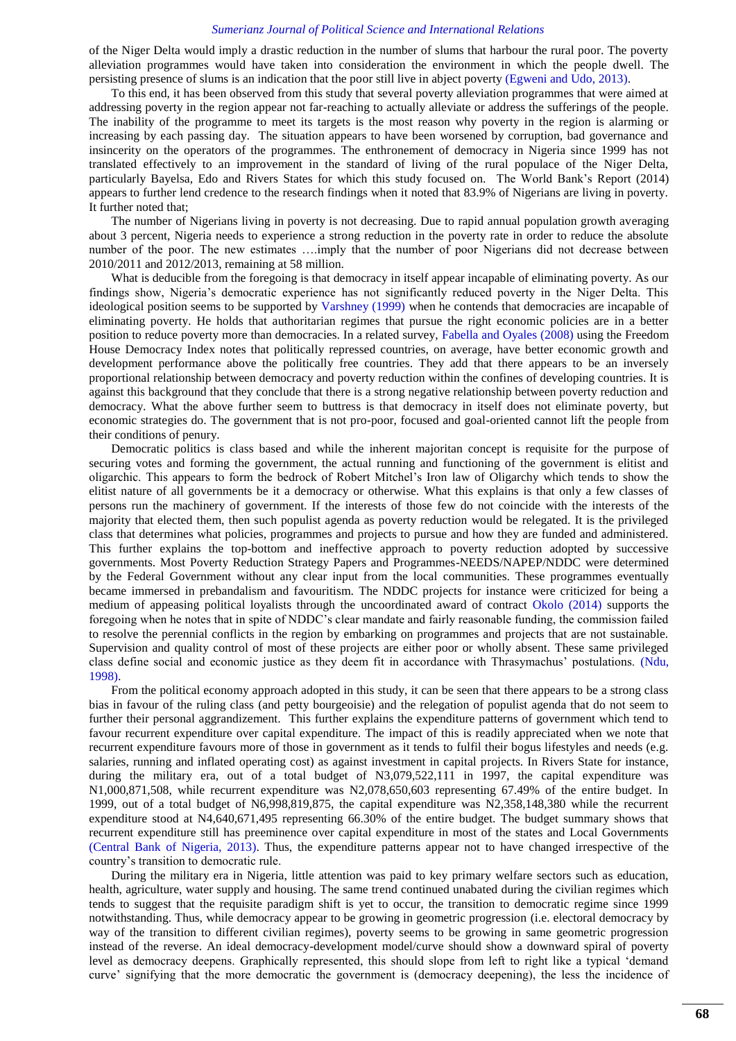of the Niger Delta would imply a drastic reduction in the number of slums that harbour the rural poor. The poverty alleviation programmes would have taken into consideration the environment in which the people dwell. The persisting presence of slums is an indication that the poor still live in abject poverty [\(Egweni and Udo, 2013\)](#page-15-37).

To this end, it has been observed from this study that several poverty alleviation programmes that were aimed at addressing poverty in the region appear not far-reaching to actually alleviate or address the sufferings of the people. The inability of the programme to meet its targets is the most reason why poverty in the region is alarming or increasing by each passing day. The situation appears to have been worsened by corruption, bad governance and insincerity on the operators of the programmes. The enthronement of democracy in Nigeria since 1999 has not translated effectively to an improvement in the standard of living of the rural populace of the Niger Delta, particularly Bayelsa, Edo and Rivers States for which this study focused on. The World Bank"s Report (2014) appears to further lend credence to the research findings when it noted that 83.9% of Nigerians are living in poverty. It further noted that;

The number of Nigerians living in poverty is not decreasing. Due to rapid annual population growth averaging about 3 percent, Nigeria needs to experience a strong reduction in the poverty rate in order to reduce the absolute number of the poor. The new estimates ….imply that the number of poor Nigerians did not decrease between 2010/2011 and 2012/2013, remaining at 58 million.

What is deducible from the foregoing is that democracy in itself appear incapable of eliminating poverty. As our findings show, Nigeria"s democratic experience has not significantly reduced poverty in the Niger Delta. This ideological position seems to be supported by [Varshney \(1999\)](#page-16-4) when he contends that democracies are incapable of eliminating poverty. He holds that authoritarian regimes that pursue the right economic policies are in a better position to reduce poverty more than democracies. In a related survey, [Fabella and Oyales \(2008\)](#page-15-38) using the Freedom House Democracy Index notes that politically repressed countries, on average, have better economic growth and development performance above the politically free countries. They add that there appears to be an inversely proportional relationship between democracy and poverty reduction within the confines of developing countries. It is against this background that they conclude that there is a strong negative relationship between poverty reduction and democracy. What the above further seem to buttress is that democracy in itself does not eliminate poverty, but economic strategies do. The government that is not pro-poor, focused and goal-oriented cannot lift the people from their conditions of penury.

Democratic politics is class based and while the inherent majoritan concept is requisite for the purpose of securing votes and forming the government, the actual running and functioning of the government is elitist and oligarchic. This appears to form the bedrock of Robert Mitchel"s Iron law of Oligarchy which tends to show the elitist nature of all governments be it a democracy or otherwise. What this explains is that only a few classes of persons run the machinery of government. If the interests of those few do not coincide with the interests of the majority that elected them, then such populist agenda as poverty reduction would be relegated. It is the privileged class that determines what policies, programmes and projects to pursue and how they are funded and administered. This further explains the top-bottom and ineffective approach to poverty reduction adopted by successive governments. Most Poverty Reduction Strategy Papers and Programmes-NEEDS/NAPEP/NDDC were determined by the Federal Government without any clear input from the local communities. These programmes eventually became immersed in prebandalism and favouritism. The NDDC projects for instance were criticized for being a medium of appeasing political loyalists through the uncoordinated award of contract [Okolo \(2014\)](#page-15-39) supports the foregoing when he notes that in spite of NDDC"s clear mandate and fairly reasonable funding, the commission failed to resolve the perennial conflicts in the region by embarking on programmes and projects that are not sustainable. Supervision and quality control of most of these projects are either poor or wholly absent. These same privileged class define social and economic justice as they deem fit in accordance with Thrasymachus" postulations. [\(Ndu,](#page-15-40)  [1998\)](#page-15-40).

From the political economy approach adopted in this study, it can be seen that there appears to be a strong class bias in favour of the ruling class (and petty bourgeoisie) and the relegation of populist agenda that do not seem to further their personal aggrandizement. This further explains the expenditure patterns of government which tend to favour recurrent expenditure over capital expenditure. The impact of this is readily appreciated when we note that recurrent expenditure favours more of those in government as it tends to fulfil their bogus lifestyles and needs (e.g. salaries, running and inflated operating cost) as against investment in capital projects. In Rivers State for instance, during the military era, out of a total budget of N3,079,522,111 in 1997, the capital expenditure was N1,000,871,508, while recurrent expenditure was N2,078,650,603 representing 67.49% of the entire budget. In 1999, out of a total budget of N6,998,819,875, the capital expenditure was N2,358,148,380 while the recurrent expenditure stood at N4,640,671,495 representing 66.30% of the entire budget. The budget summary shows that recurrent expenditure still has preeminence over capital expenditure in most of the states and Local Governments [\(Central Bank of Nigeria, 2013\)](#page-14-3). Thus, the expenditure patterns appear not to have changed irrespective of the country"s transition to democratic rule.

During the military era in Nigeria, little attention was paid to key primary welfare sectors such as education, health, agriculture, water supply and housing. The same trend continued unabated during the civilian regimes which tends to suggest that the requisite paradigm shift is yet to occur, the transition to democratic regime since 1999 notwithstanding. Thus, while democracy appear to be growing in geometric progression (i.e. electoral democracy by way of the transition to different civilian regimes), poverty seems to be growing in same geometric progression instead of the reverse. An ideal democracy-development model/curve should show a downward spiral of poverty level as democracy deepens. Graphically represented, this should slope from left to right like a typical "demand curve" signifying that the more democratic the government is (democracy deepening), the less the incidence of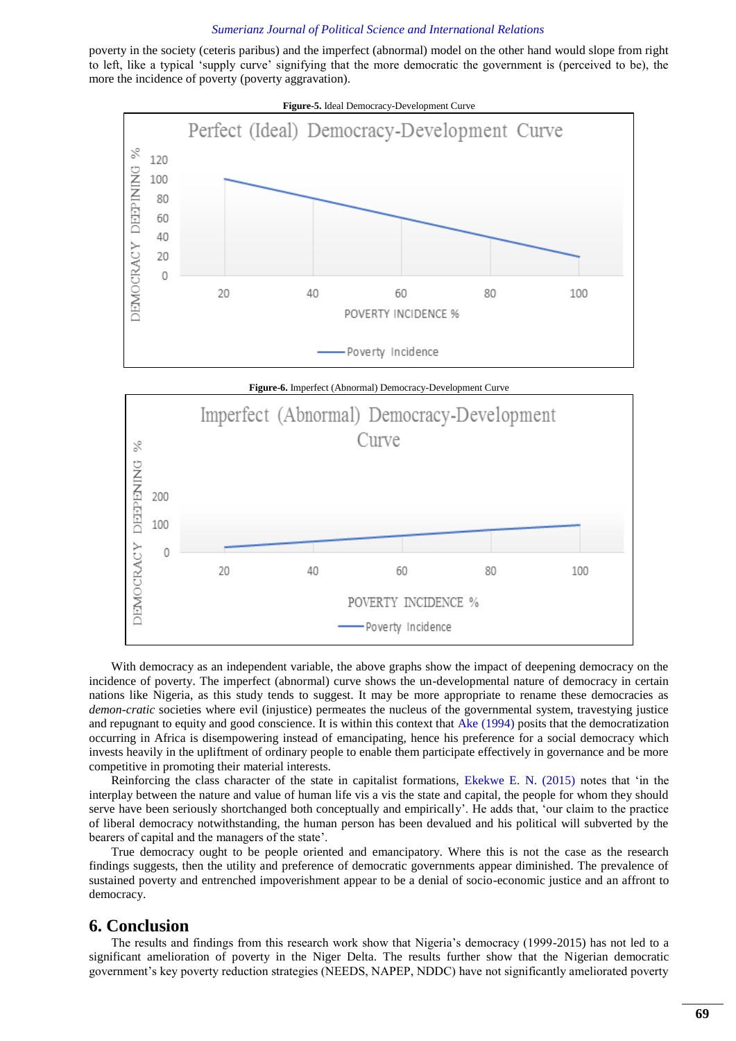poverty in the society (ceteris paribus) and the imperfect (abnormal) model on the other hand would slope from right to left, like a typical "supply curve" signifying that the more democratic the government is (perceived to be), the more the incidence of poverty (poverty aggravation).



With democracy as an independent variable, the above graphs show the impact of deepening democracy on the incidence of poverty. The imperfect (abnormal) curve shows the un-developmental nature of democracy in certain nations like Nigeria, as this study tends to suggest. It may be more appropriate to rename these democracies as *demon-cratic* societies where evil (injustice) permeates the nucleus of the governmental system, travestying justice and repugnant to equity and good conscience. It is within this context that [Ake \(1994\)](#page-14-2) posits that the democratization occurring in Africa is disempowering instead of emancipating, hence his preference for a social democracy which invests heavily in the upliftment of ordinary people to enable them participate effectively in governance and be more competitive in promoting their material interests.

Reinforcing the class character of the state in capitalist formations, [Ekekwe E. N. \(2015\)](#page-15-41) notes that "in the interplay between the nature and value of human life vis a vis the state and capital, the people for whom they should serve have been seriously shortchanged both conceptually and empirically". He adds that, "our claim to the practice of liberal democracy notwithstanding, the human person has been devalued and his political will subverted by the bearers of capital and the managers of the state".

True democracy ought to be people oriented and emancipatory. Where this is not the case as the research findings suggests, then the utility and preference of democratic governments appear diminished. The prevalence of sustained poverty and entrenched impoverishment appear to be a denial of socio-economic justice and an affront to democracy.

## **6. Conclusion**

The results and findings from this research work show that Nigeria"s democracy (1999-2015) has not led to a significant amelioration of poverty in the Niger Delta. The results further show that the Nigerian democratic government"s key poverty reduction strategies (NEEDS, NAPEP, NDDC) have not significantly ameliorated poverty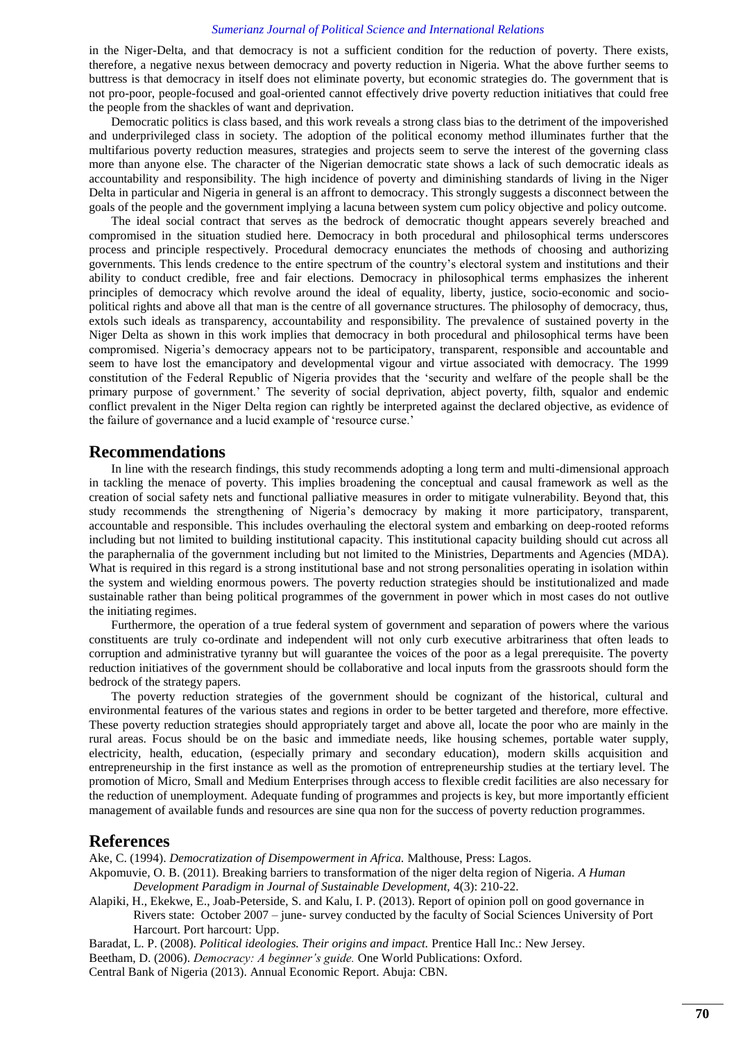in the Niger-Delta, and that democracy is not a sufficient condition for the reduction of poverty. There exists, therefore, a negative nexus between democracy and poverty reduction in Nigeria. What the above further seems to buttress is that democracy in itself does not eliminate poverty, but economic strategies do. The government that is not pro-poor, people-focused and goal-oriented cannot effectively drive poverty reduction initiatives that could free the people from the shackles of want and deprivation.

Democratic politics is class based, and this work reveals a strong class bias to the detriment of the impoverished and underprivileged class in society. The adoption of the political economy method illuminates further that the multifarious poverty reduction measures, strategies and projects seem to serve the interest of the governing class more than anyone else. The character of the Nigerian democratic state shows a lack of such democratic ideals as accountability and responsibility. The high incidence of poverty and diminishing standards of living in the Niger Delta in particular and Nigeria in general is an affront to democracy. This strongly suggests a disconnect between the goals of the people and the government implying a lacuna between system cum policy objective and policy outcome.

The ideal social contract that serves as the bedrock of democratic thought appears severely breached and compromised in the situation studied here. Democracy in both procedural and philosophical terms underscores process and principle respectively. Procedural democracy enunciates the methods of choosing and authorizing governments. This lends credence to the entire spectrum of the country"s electoral system and institutions and their ability to conduct credible, free and fair elections. Democracy in philosophical terms emphasizes the inherent principles of democracy which revolve around the ideal of equality, liberty, justice, socio-economic and sociopolitical rights and above all that man is the centre of all governance structures. The philosophy of democracy, thus, extols such ideals as transparency, accountability and responsibility. The prevalence of sustained poverty in the Niger Delta as shown in this work implies that democracy in both procedural and philosophical terms have been compromised. Nigeria"s democracy appears not to be participatory, transparent, responsible and accountable and seem to have lost the emancipatory and developmental vigour and virtue associated with democracy. The 1999 constitution of the Federal Republic of Nigeria provides that the "security and welfare of the people shall be the primary purpose of government." The severity of social deprivation, abject poverty, filth, squalor and endemic conflict prevalent in the Niger Delta region can rightly be interpreted against the declared objective, as evidence of the failure of governance and a lucid example of "resource curse."

## **Recommendations**

In line with the research findings, this study recommends adopting a long term and multi-dimensional approach in tackling the menace of poverty. This implies broadening the conceptual and causal framework as well as the creation of social safety nets and functional palliative measures in order to mitigate vulnerability. Beyond that, this study recommends the strengthening of Nigeria"s democracy by making it more participatory, transparent, accountable and responsible. This includes overhauling the electoral system and embarking on deep-rooted reforms including but not limited to building institutional capacity. This institutional capacity building should cut across all the paraphernalia of the government including but not limited to the Ministries, Departments and Agencies (MDA). What is required in this regard is a strong institutional base and not strong personalities operating in isolation within the system and wielding enormous powers. The poverty reduction strategies should be institutionalized and made sustainable rather than being political programmes of the government in power which in most cases do not outlive the initiating regimes.

Furthermore, the operation of a true federal system of government and separation of powers where the various constituents are truly co-ordinate and independent will not only curb executive arbitrariness that often leads to corruption and administrative tyranny but will guarantee the voices of the poor as a legal prerequisite. The poverty reduction initiatives of the government should be collaborative and local inputs from the grassroots should form the bedrock of the strategy papers.

The poverty reduction strategies of the government should be cognizant of the historical, cultural and environmental features of the various states and regions in order to be better targeted and therefore, more effective. These poverty reduction strategies should appropriately target and above all, locate the poor who are mainly in the rural areas. Focus should be on the basic and immediate needs, like housing schemes, portable water supply, electricity, health, education, (especially primary and secondary education), modern skills acquisition and entrepreneurship in the first instance as well as the promotion of entrepreneurship studies at the tertiary level. The promotion of Micro, Small and Medium Enterprises through access to flexible credit facilities are also necessary for the reduction of unemployment. Adequate funding of programmes and projects is key, but more importantly efficient management of available funds and resources are sine qua non for the success of poverty reduction programmes.

## **References**

<span id="page-14-2"></span>Ake, C. (1994). *Democratization of Disempowerment in Africa.* Malthouse, Press: Lagos.

<span id="page-14-4"></span>Akpomuvie, O. B. (2011). Breaking barriers to transformation of the niger delta region of Nigeria. *A Human Development Paradigm in Journal of Sustainable Development,* 4(3): 210-22.

<span id="page-14-5"></span>Alapiki, H., Ekekwe, E., Joab-Peterside, S. and Kalu, I. P. (2013). Report of opinion poll on good governance in Rivers state: October 2007 – june- survey conducted by the faculty of Social Sciences University of Port Harcourt. Port harcourt: Upp.

<span id="page-14-1"></span>Baradat, L. P. (2008). *Political ideologies. Their origins and impact.* Prentice Hall Inc.: New Jersey.

<span id="page-14-0"></span>Beetham, D. (2006). *Democracy: A beginner's guide.* One World Publications: Oxford.

<span id="page-14-3"></span>Central Bank of Nigeria (2013). Annual Economic Report. Abuja: CBN.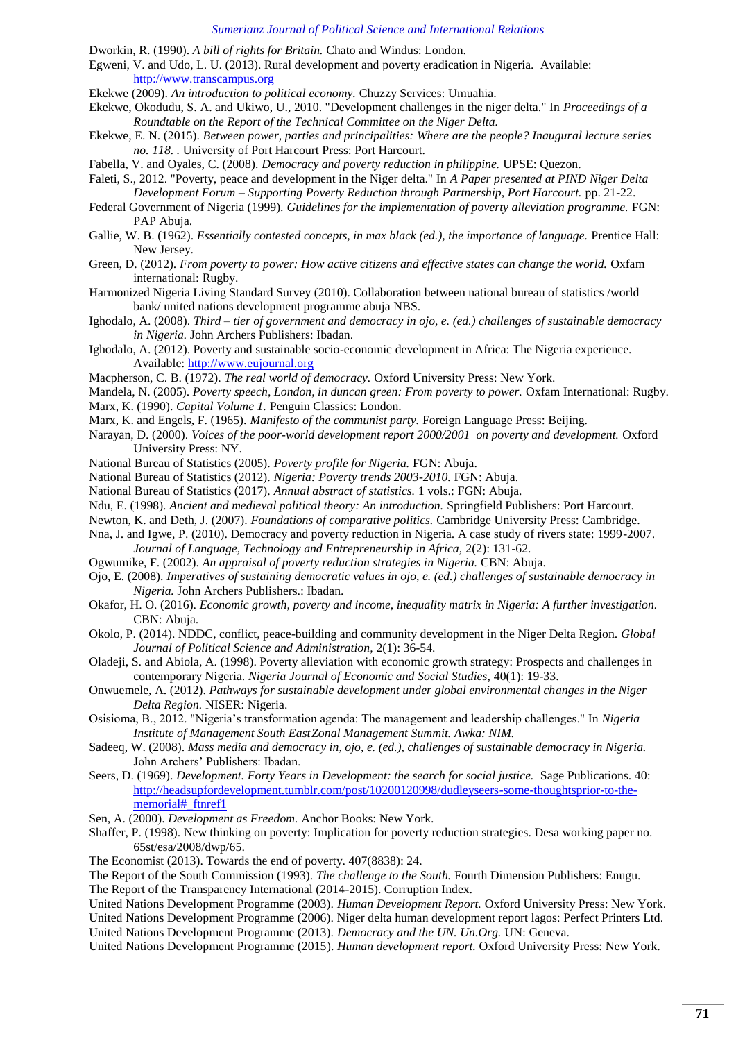- <span id="page-15-19"></span>Dworkin, R. (1990). *A bill of rights for Britain.* Chato and Windus: London.
- <span id="page-15-37"></span>Egweni, V. and Udo, L. U. (2013). Rural development and poverty eradication in Nigeria. Available: [http://www.transcampus.org](http://www.transcampus.org/)
- <span id="page-15-13"></span>Ekekwe (2009). *An introduction to political economy.* Chuzzy Services: Umuahia.
- <span id="page-15-33"></span>Ekekwe, Okodudu, S. A. and Ukiwo, U., 2010. "Development challenges in the niger delta." In *Proceedings of a Roundtable on the Report of the Technical Committee on the Niger Delta.*
- <span id="page-15-41"></span>Ekekwe, E. N. (2015). *Between power, parties and principalities: Where are the people? Inaugural lecture series no. 118. .* University of Port Harcourt Press: Port Harcourt.

<span id="page-15-38"></span>Fabella, V. and Oyales, C. (2008). *Democracy and poverty reduction in philippine.* UPSE: Quezon.

- <span id="page-15-21"></span>Faleti, S., 2012. "Poverty, peace and development in the Niger delta." In *A Paper presented at PIND Niger Delta Development Forum – Supporting Poverty Reduction through Partnership, Port Harcourt.* pp. 21-22.
- <span id="page-15-27"></span>Federal Government of Nigeria (1999). *Guidelines for the implementation of poverty alleviation programme.* FGN: PAP Abuja.
- <span id="page-15-15"></span>Gallie, W. B. (1962). *Essentially contested concepts, in max black (ed.), the importance of language.* Prentice Hall: New Jersey.
- <span id="page-15-10"></span>Green, D. (2012). *From poverty to power: How active citizens and effective states can change the world.* Oxfam international: Rugby.
- <span id="page-15-35"></span>Harmonized Nigeria Living Standard Survey (2010). Collaboration between national bureau of statistics /world bank/ united nations development programme abuja NBS.
- <span id="page-15-17"></span>Ighodalo, A. (2008). *Third – tier of government and democracy in ojo, e. (ed.) challenges of sustainable democracy in Nigeria.* John Archers Publishers: Ibadan.
- <span id="page-15-36"></span>Ighodalo, A. (2012). Poverty and sustainable socio-economic development in Africa: The Nigeria experience. Available: [http://www.eujournal.org](http://www.eujournal.org/)
- <span id="page-15-9"></span>Macpherson, C. B. (1972). *The real world of democracy.* Oxford University Press: New York.
- <span id="page-15-20"></span><span id="page-15-11"></span>Mandela, N. (2005). *Poverty speech, London, in duncan green: From poverty to power.* Oxfam International: Rugby. Marx, K. (1990). *Capital Volume 1.* Penguin Classics: London.
- <span id="page-15-12"></span>Marx, K. and Engels, F. (1965). *Manifesto of the communist party.* Foreign Language Press: Beijing.
- <span id="page-15-24"></span>Narayan, D. (2000). *Voices of the poor-world development report 2000/2001 on poverty and development.* Oxford University Press: NY.
- <span id="page-15-26"></span>National Bureau of Statistics (2005). *Poverty profile for Nigeria.* FGN: Abuja.
- <span id="page-15-5"></span>National Bureau of Statistics (2012). *Nigeria: Poverty trends 2003-2010.* FGN: Abuja.
- <span id="page-15-32"></span>National Bureau of Statistics (2017). *Annual abstract of statistics.* 1 vols.: FGN: Abuja.
- <span id="page-15-40"></span>Ndu, E. (1998). *Ancient and medieval political theory: An introduction.* Springfield Publishers: Port Harcourt.
- <span id="page-15-18"></span>Newton, K. and Deth, J. (2007). *Foundations of comparative politics.* Cambridge University Press: Cambridge.
- <span id="page-15-30"></span>Nna, J. and Igwe, P. (2010). Democracy and poverty reduction in Nigeria. A case study of rivers state: 1999-2007. *Journal of Language, Technology and Entrepreneurship in Africa,* 2(2): 131-62.
- <span id="page-15-4"></span>Ogwumike, F. (2002). *An appraisal of poverty reduction strategies in Nigeria.* CBN: Abuja.
- <span id="page-15-16"></span>Ojo, E. (2008). *Imperatives of sustaining democratic values in ojo, e. (ed.) challenges of sustainable democracy in Nigeria.* John Archers Publishers.: Ibadan.
- <span id="page-15-31"></span>Okafor, H. O. (2016). *Economic growth, poverty and income, inequality matrix in Nigeria: A further investigation.* CBN: Abuja.
- <span id="page-15-39"></span>Okolo, P. (2014). NDDC, conflict, peace-building and community development in the Niger Delta Region. *Global Journal of Political Science and Administration,* 2(1): 36-54.
- <span id="page-15-25"></span>Oladeji, S. and Abiola, A. (1998). Poverty alleviation with economic growth strategy: Prospects and challenges in contemporary Nigeria. *Nigeria Journal of Economic and Social Studies,* 40(1): 19-33.
- <span id="page-15-28"></span>Onwuemele, A. (2012). *Pathways for sustainable development under global environmental changes in the Niger Delta Region.* NISER: Nigeria.
- <span id="page-15-29"></span>Osisioma, B., 2012. "Nigeria"s transformation agenda: The management and leadership challenges." In *Nigeria Institute of Management South EastZonal Management Summit. Awka: NIM.*
- <span id="page-15-14"></span>Sadeeq, W. (2008). *Mass media and democracy in, ojo, e. (ed.), challenges of sustainable democracy in Nigeria.* John Archers" Publishers: Ibadan.
- <span id="page-15-2"></span>Seers, D. (1969). *Development. Forty Years in Development: the search for social justice.* Sage Publications. 40: [http://headsupfordevelopment.tumblr.com/post/10200120998/dudleyseers-some-thoughtsprior-to-the](http://headsupfordevelopment.tumblr.com/post/10200120998/dudleyseers-some-thoughtsprior-to-the-memorial#_ftnref1)[memorial#\\_ftnref1](http://headsupfordevelopment.tumblr.com/post/10200120998/dudleyseers-some-thoughtsprior-to-the-memorial#_ftnref1)
- <span id="page-15-22"></span>Sen, A. (2000). *Development as Freedom.* Anchor Books: New York.
- <span id="page-15-23"></span>Shaffer, P. (1998). New thinking on poverty: Implication for poverty reduction strategies. Desa working paper no. 65st/esa/2008/dwp/65.
- <span id="page-15-3"></span>The Economist (2013). Towards the end of poverty. 407(8838): 24.

<span id="page-15-34"></span><span id="page-15-0"></span>The Report of the South Commission (1993). *The challenge to the South.* Fourth Dimension Publishers: Enugu. The Report of the Transparency International (2014-2015). Corruption Index.

<span id="page-15-8"></span><span id="page-15-1"></span>United Nations Development Programme (2003). *Human Development Report.* Oxford University Press: New York. United Nations Development Programme (2006). Niger delta human development report lagos: Perfect Printers Ltd. United Nations Development Programme (2013). *Democracy and the UN. Un.Org.* UN: Geneva.

<span id="page-15-7"></span><span id="page-15-6"></span>United Nations Development Programme (2015). *Human development report.* Oxford University Press: New York.